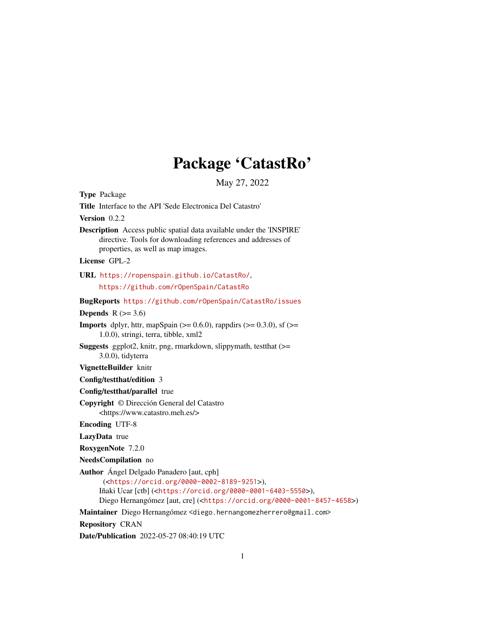# Package 'CatastRo'

May 27, 2022

<span id="page-0-0"></span>Type Package Title Interface to the API 'Sede Electronica Del Catastro' Version 0.2.2 Description Access public spatial data available under the 'INSPIRE' directive. Tools for downloading references and addresses of properties, as well as map images. License GPL-2 URL <https://ropenspain.github.io/CatastRo/>, <https://github.com/rOpenSpain/CatastRo> BugReports <https://github.com/rOpenSpain/CatastRo/issues> Depends  $R$  ( $>= 3.6$ ) **Imports** dplyr, httr, mapSpain ( $> = 0.6.0$ ), rappdirs ( $> = 0.3.0$ ), sf ( $> =$ 1.0.0), stringi, terra, tibble, xml2 Suggests ggplot2, knitr, png, rmarkdown, slippymath, testthat (>= 3.0.0), tidyterra VignetteBuilder knitr Config/testthat/edition 3 Config/testthat/parallel true Copyright © Dirección General del Catastro <https://www.catastro.meh.es/> Encoding UTF-8 LazyData true RoxygenNote 7.2.0 NeedsCompilation no Author Ángel Delgado Panadero [aut, cph] (<<https://orcid.org/0000-0002-8189-9251>>), Iñaki Ucar [ctb] (<<https://orcid.org/0000-0001-6403-5550>>), Diego Hernangómez [aut, cre] (<<https://orcid.org/0000-0001-8457-4658>>) Maintainer Diego Hernangómez <diego.hernangomezherrero@gmail.com> Repository CRAN Date/Publication 2022-05-27 08:40:19 UTC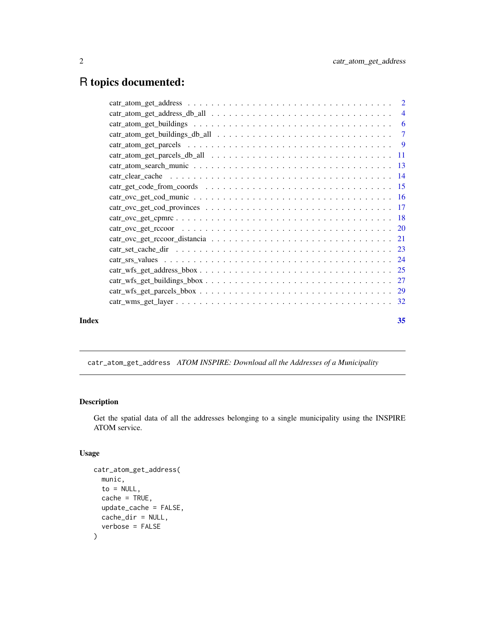# <span id="page-1-0"></span>R topics documented:

| Index | 35 |
|-------|----|
|       |    |
|       |    |
|       |    |
|       |    |
|       |    |
|       |    |
|       |    |
|       |    |
|       |    |
|       |    |
|       |    |
|       |    |
|       |    |
|       |    |
|       |    |
|       |    |
|       |    |
|       |    |
|       |    |
|       |    |

<span id="page-1-1"></span>catr\_atom\_get\_address *ATOM INSPIRE: Download all the Addresses of a Municipality*

# Description

Get the spatial data of all the addresses belonging to a single municipality using the INSPIRE ATOM service.

# Usage

```
catr_atom_get_address(
  munic,
  to = NULL,
  cache = TRUE,update_cache = FALSE,
  cache_dir = NULL,
  verbose = FALSE
\mathcal{E}
```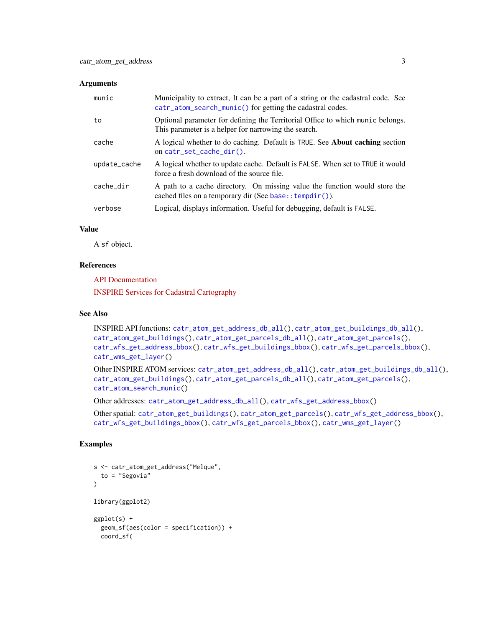#### <span id="page-2-0"></span>**Arguments**

| munic        | Municipality to extract, It can be a part of a string or the cadastral code. See<br>catr_atom_search_munic() for getting the cadastral codes. |
|--------------|-----------------------------------------------------------------------------------------------------------------------------------------------|
| to           | Optional parameter for defining the Territorial Office to which munic belongs.<br>This parameter is a helper for narrowing the search.        |
| cache        | A logical whether to do caching. Default is TRUE. See <b>About caching</b> section<br>on $cart_set$ cache $dir()$ .                           |
| update_cache | A logical whether to update cache. Default is FALSE. When set to TRUE it would<br>force a fresh download of the source file.                  |
| cache dir    | A path to a cache directory. On missing value the function would store the<br>cached files on a temporary dir (See base:: $tempdir()$ ).      |
| verbose      | Logical, displays information. Useful for debugging, default is FALSE.                                                                        |

#### Value

A sf object.

#### References

[API Documentation](https://www.catastro.minhap.es/webinspire/documentos/inspire-ATOM.pdf)

[INSPIRE Services for Cadastral Cartography](https://www.catastro.minhap.es/webinspire/index.html)

#### See Also

```
INSPIRE API functions: catr_atom_get_address_db_all(), catr_atom_get_buildings_db_all(),
catr_atom_get_buildings(), catr_atom_get_parcels_db_all(), catr_atom_get_parcels(),
catr_wfs_get_address_bbox(), catr_wfs_get_buildings_bbox(), catr_wfs_get_parcels_bbox(),
catr_wms_get_layer()
```
Other INSPIRE ATOM services: [catr\\_atom\\_get\\_address\\_db\\_all\(](#page-3-1)), [catr\\_atom\\_get\\_buildings\\_db\\_all\(](#page-6-1)), [catr\\_atom\\_get\\_buildings\(](#page-5-1)), [catr\\_atom\\_get\\_parcels\\_db\\_all\(](#page-10-1)), [catr\\_atom\\_get\\_parcels\(](#page-8-1)), [catr\\_atom\\_search\\_munic\(](#page-12-1))

Other addresses: [catr\\_atom\\_get\\_address\\_db\\_all\(](#page-3-1)), [catr\\_wfs\\_get\\_address\\_bbox\(](#page-24-1))

Other spatial: [catr\\_atom\\_get\\_buildings\(](#page-5-1)), [catr\\_atom\\_get\\_parcels\(](#page-8-1)), [catr\\_wfs\\_get\\_address\\_bbox\(](#page-24-1)), [catr\\_wfs\\_get\\_buildings\\_bbox\(](#page-26-1)), [catr\\_wfs\\_get\\_parcels\\_bbox\(](#page-28-1)), [catr\\_wms\\_get\\_layer\(](#page-31-1))

# Examples

```
s <- catr_atom_get_address("Melque",
  to = "Segovia"
\lambdalibrary(ggplot2)
ggplot(s) +
  geom_sf(aes(color = specification)) +
  coord_sf(
```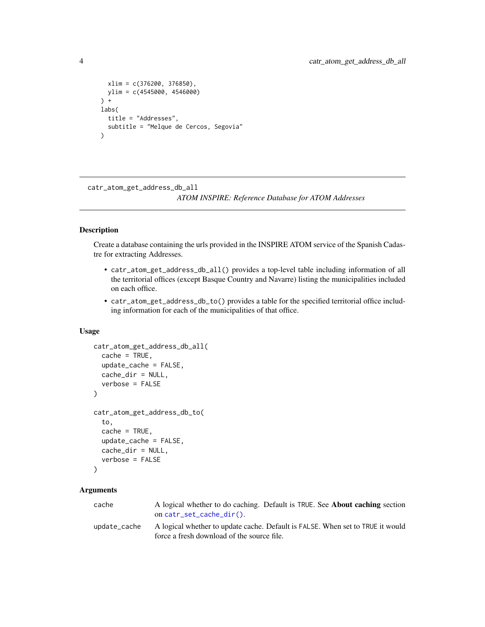```
xlim = c(376200, 376850),
 ylim = c(4545000, 4546000)
) +
labs(
 title = "Addresses",
 subtitle = "Melque de Cercos, Segovia"
)
```
<span id="page-3-1"></span>catr\_atom\_get\_address\_db\_all *ATOM INSPIRE: Reference Database for ATOM Addresses*

# Description

Create a database containing the urls provided in the INSPIRE ATOM service of the Spanish Cadastre for extracting Addresses.

- catr\_atom\_get\_address\_db\_all() provides a top-level table including information of all the territorial offices (except Basque Country and Navarre) listing the municipalities included on each office.
- catr\_atom\_get\_address\_db\_to() provides a table for the specified territorial office including information for each of the municipalities of that office.

#### Usage

```
catr_atom_get_address_db_all(
  cache = TRUE,update_cache = FALSE,
 cache_dir = NULL,
  verbose = FALSE
\lambdacatr_atom_get_address_db_to(
  to,
  cache = TRUE,update_cache = FALSE,
  cache_dir = NULL,
  verbose = FALSE
)
```
#### Arguments

| cache        | A logical whether to do caching. Default is TRUE. See <b>About caching</b> section |
|--------------|------------------------------------------------------------------------------------|
|              | on $cart\_set\_cache\_dir()$ .                                                     |
| update cache | A logical whether to update cache. Default is FALSE. When set to TRUE it would     |
|              | force a fresh download of the source file.                                         |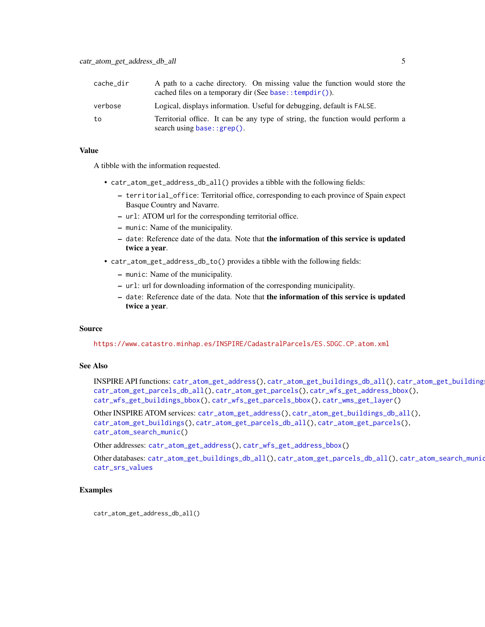<span id="page-4-0"></span>

| cache dir | A path to a cache directory. On missing value the function would store the<br>cached files on a temporary dir (See base:: $tempdir()$ ). |
|-----------|------------------------------------------------------------------------------------------------------------------------------------------|
| verbose   | Logical, displays information. Useful for debugging, default is FALSE.                                                                   |
| to        | Territorial office. It can be any type of string, the function would perform a<br>search using $base::green()$ .                         |

#### Value

A tibble with the information requested.

- catr\_atom\_get\_address\_db\_all() provides a tibble with the following fields:
	- territorial\_office: Territorial office, corresponding to each province of Spain expect Basque Country and Navarre.
	- url: ATOM url for the corresponding territorial office.
	- munic: Name of the municipality.
	- date: Reference date of the data. Note that the information of this service is updated twice a year.
- catr\_atom\_get\_address\_db\_to() provides a tibble with the following fields:
	- munic: Name of the municipality.
	- url: url for downloading information of the corresponding municipality.
	- date: Reference date of the data. Note that the information of this service is updated twice a year.

#### Source

<https://www.catastro.minhap.es/INSPIRE/CadastralParcels/ES.SDGC.CP.atom.xml>

# See Also

INSPIRE API functions: [catr\\_atom\\_get\\_address\(](#page-1-1)), [catr\\_atom\\_get\\_buildings\\_db\\_all\(](#page-6-1)), [catr\\_atom\\_get\\_buildings\(](#page-5-1)), [catr\\_atom\\_get\\_parcels\\_db\\_all\(](#page-10-1)), [catr\\_atom\\_get\\_parcels\(](#page-8-1)), [catr\\_wfs\\_get\\_address\\_bbox\(](#page-24-1)), [catr\\_wfs\\_get\\_buildings\\_bbox\(](#page-26-1)), [catr\\_wfs\\_get\\_parcels\\_bbox\(](#page-28-1)), [catr\\_wms\\_get\\_layer\(](#page-31-1))

Other INSPIRE ATOM services: [catr\\_atom\\_get\\_address\(](#page-1-1)), [catr\\_atom\\_get\\_buildings\\_db\\_all\(](#page-6-1)), [catr\\_atom\\_get\\_buildings\(](#page-5-1)), [catr\\_atom\\_get\\_parcels\\_db\\_all\(](#page-10-1)), [catr\\_atom\\_get\\_parcels\(](#page-8-1)), [catr\\_atom\\_search\\_munic\(](#page-12-1))

Other addresses: [catr\\_atom\\_get\\_address\(](#page-1-1)), [catr\\_wfs\\_get\\_address\\_bbox\(](#page-24-1))

Other databases: [catr\\_atom\\_get\\_buildings\\_db\\_all\(](#page-6-1)), [catr\\_atom\\_get\\_parcels\\_db\\_all\(](#page-10-1)), [catr\\_atom\\_search\\_munic\(](#page-12-1)), [catr\\_srs\\_values](#page-23-1)

# Examples

catr\_atom\_get\_address\_db\_all()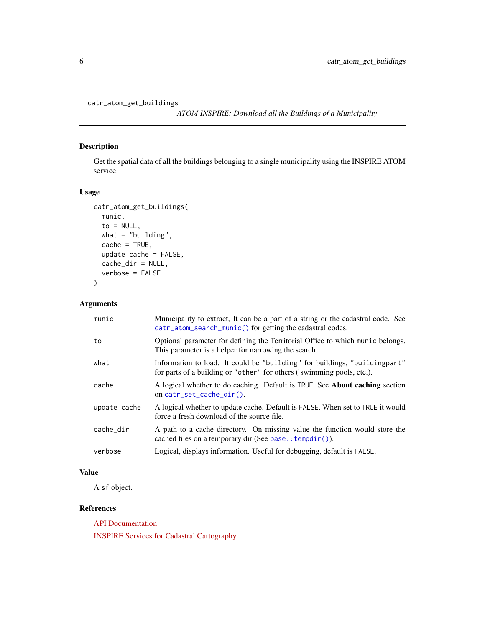```
catr_atom_get_buildings
```
*ATOM INSPIRE: Download all the Buildings of a Municipality*

# Description

Get the spatial data of all the buildings belonging to a single municipality using the INSPIRE ATOM service.

# Usage

```
catr_atom_get_buildings(
 munic,
  to = NULL,
 what = "building",
  cache = TRUE,update_cache = FALSE,
  cache_dir = NULL,
 verbose = FALSE
\mathcal{L}
```
# Arguments

| munic        | Municipality to extract, It can be a part of a string or the cadastral code. See<br>catr_atom_search_munic() for getting the cadastral codes.       |
|--------------|-----------------------------------------------------------------------------------------------------------------------------------------------------|
| to           | Optional parameter for defining the Territorial Office to which munic belongs.<br>This parameter is a helper for narrowing the search.              |
| what         | Information to load. It could be "building" for buildings, "building part"<br>for parts of a building or "other" for others (swimming pools, etc.). |
| cache        | A logical whether to do caching. Default is TRUE. See About caching section<br>on $cart_set$ cache $dir()$ .                                        |
| update_cache | A logical whether to update cache. Default is FALSE. When set to TRUE it would<br>force a fresh download of the source file.                        |
| cache dir    | A path to a cache directory. On missing value the function would store the<br>cached files on a temporary dir (See base:: $tempdir()$ ).            |
| verbose      | Logical, displays information. Useful for debugging, default is FALSE.                                                                              |

# Value

A sf object.

# References

[API Documentation](https://www.catastro.minhap.es/webinspire/documentos/inspire-ATOM.pdf)

[INSPIRE Services for Cadastral Cartography](https://www.catastro.minhap.es/webinspire/index.html)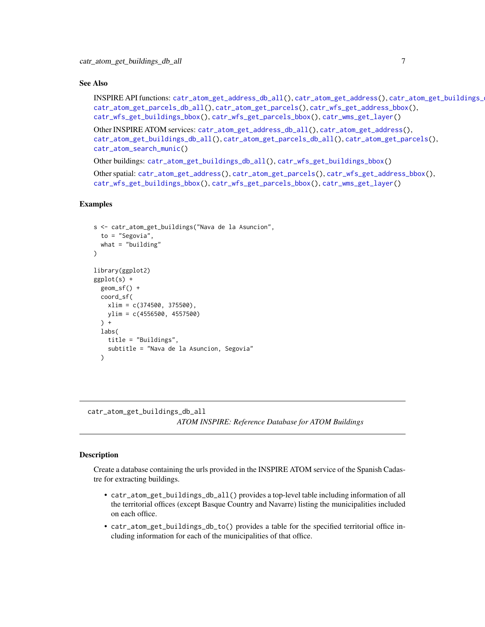#### <span id="page-6-0"></span>See Also

INSPIRE API functions: [catr\\_atom\\_get\\_address\\_db\\_all\(](#page-3-1)), [catr\\_atom\\_get\\_address\(](#page-1-1)), [catr\\_atom\\_get\\_buildings\\_db\\_all\(](#page-6-1)), [catr\\_atom\\_get\\_parcels\\_db\\_all\(](#page-10-1)), [catr\\_atom\\_get\\_parcels\(](#page-8-1)), [catr\\_wfs\\_get\\_address\\_bbox\(](#page-24-1)), [catr\\_wfs\\_get\\_buildings\\_bbox\(](#page-26-1)), [catr\\_wfs\\_get\\_parcels\\_bbox\(](#page-28-1)), [catr\\_wms\\_get\\_layer\(](#page-31-1))

Other INSPIRE ATOM services: [catr\\_atom\\_get\\_address\\_db\\_all\(](#page-3-1)), [catr\\_atom\\_get\\_address\(](#page-1-1)), [catr\\_atom\\_get\\_buildings\\_db\\_all\(](#page-6-1)), [catr\\_atom\\_get\\_parcels\\_db\\_all\(](#page-10-1)), [catr\\_atom\\_get\\_parcels\(](#page-8-1)), [catr\\_atom\\_search\\_munic\(](#page-12-1))

Other buildings: [catr\\_atom\\_get\\_buildings\\_db\\_all\(](#page-6-1)), [catr\\_wfs\\_get\\_buildings\\_bbox\(](#page-26-1))

Other spatial: [catr\\_atom\\_get\\_address\(](#page-1-1)), [catr\\_atom\\_get\\_parcels\(](#page-8-1)), [catr\\_wfs\\_get\\_address\\_bbox\(](#page-24-1)), [catr\\_wfs\\_get\\_buildings\\_bbox\(](#page-26-1)), [catr\\_wfs\\_get\\_parcels\\_bbox\(](#page-28-1)), [catr\\_wms\\_get\\_layer\(](#page-31-1))

#### Examples

```
s <- catr_atom_get_buildings("Nava de la Asuncion",
 to = "Segovia",
 what = "building")
library(ggplot2)
ggplot(s) +
 geom_sf() +
 coord_sf(
   xlim = c(374500, 375500),
   ylim = c(4556500, 4557500)
 ) +labs(
   title = "Buildings",
   subtitle = "Nava de la Asuncion, Segovia"
 )
```
<span id="page-6-1"></span>catr\_atom\_get\_buildings\_db\_all

*ATOM INSPIRE: Reference Database for ATOM Buildings*

#### Description

Create a database containing the urls provided in the INSPIRE ATOM service of the Spanish Cadastre for extracting buildings.

- catr\_atom\_get\_buildings\_db\_all() provides a top-level table including information of all the territorial offices (except Basque Country and Navarre) listing the municipalities included on each office.
- catr\_atom\_get\_buildings\_db\_to() provides a table for the specified territorial office including information for each of the municipalities of that office.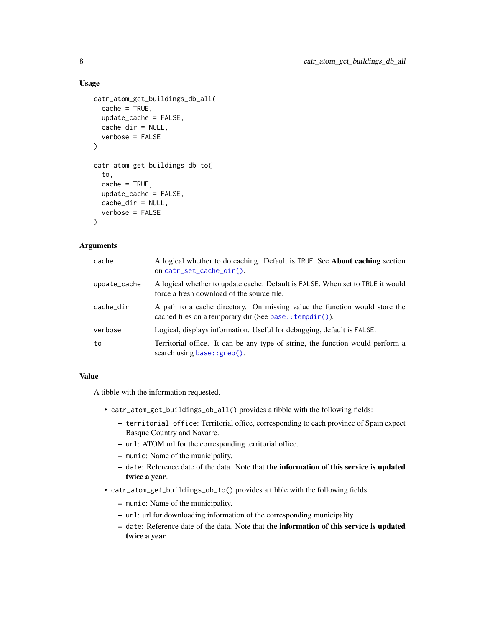#### <span id="page-7-0"></span>Usage

```
catr_atom_get_buildings_db_all(
  cache = TRUE,update_cache = FALSE,
  cache_dir = NULL,
  verbose = FALSE
\lambdacatr_atom_get_buildings_db_to(
  to,
  cache = TRUE,update_cache = FALSE,
  cache_dir = NULL,
  verbose = FALSE
)
```
#### Arguments

| cache        | A logical whether to do caching. Default is TRUE. See About caching section<br>on catr_set_cache_dir().                                  |
|--------------|------------------------------------------------------------------------------------------------------------------------------------------|
| update_cache | A logical whether to update cache. Default is FALSE. When set to TRUE it would<br>force a fresh download of the source file.             |
| cache dir    | A path to a cache directory. On missing value the function would store the<br>cached files on a temporary dir (See base:: $tempdir()$ ). |
| verbose      | Logical, displays information. Useful for debugging, default is FALSE.                                                                   |
| to           | Territorial office. It can be any type of string, the function would perform a<br>search using $base::green()$ .                         |

#### Value

A tibble with the information requested.

- catr\_atom\_get\_buildings\_db\_all() provides a tibble with the following fields:
	- territorial\_office: Territorial office, corresponding to each province of Spain expect Basque Country and Navarre.
	- url: ATOM url for the corresponding territorial office.
	- munic: Name of the municipality.
	- date: Reference date of the data. Note that the information of this service is updated twice a year.
- catr\_atom\_get\_buildings\_db\_to() provides a tibble with the following fields:
	- munic: Name of the municipality.
	- url: url for downloading information of the corresponding municipality.
	- date: Reference date of the data. Note that the information of this service is updated twice a year.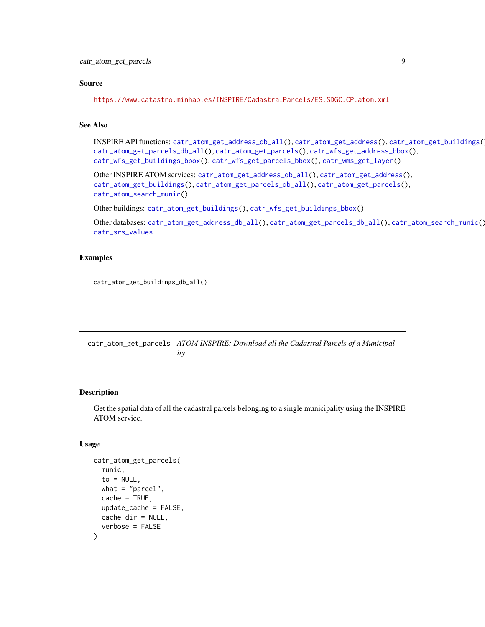#### <span id="page-8-0"></span>Source

```
https://www.catastro.minhap.es/INSPIRE/CadastralParcels/ES.SDGC.CP.atom.xml
```
#### See Also

INSPIRE API functions: [catr\\_atom\\_get\\_address\\_db\\_all\(](#page-3-1)), [catr\\_atom\\_get\\_address\(](#page-1-1)), [catr\\_atom\\_get\\_buildings\(](#page-5-1)), [catr\\_atom\\_get\\_parcels\\_db\\_all\(](#page-10-1)), [catr\\_atom\\_get\\_parcels\(](#page-8-1)), [catr\\_wfs\\_get\\_address\\_bbox\(](#page-24-1)), [catr\\_wfs\\_get\\_buildings\\_bbox\(](#page-26-1)), [catr\\_wfs\\_get\\_parcels\\_bbox\(](#page-28-1)), [catr\\_wms\\_get\\_layer\(](#page-31-1))

Other INSPIRE ATOM services: [catr\\_atom\\_get\\_address\\_db\\_all\(](#page-3-1)), [catr\\_atom\\_get\\_address\(](#page-1-1)), [catr\\_atom\\_get\\_buildings\(](#page-5-1)), [catr\\_atom\\_get\\_parcels\\_db\\_all\(](#page-10-1)), [catr\\_atom\\_get\\_parcels\(](#page-8-1)), [catr\\_atom\\_search\\_munic\(](#page-12-1))

Other buildings: [catr\\_atom\\_get\\_buildings\(](#page-5-1)), [catr\\_wfs\\_get\\_buildings\\_bbox\(](#page-26-1))

Other databases: [catr\\_atom\\_get\\_address\\_db\\_all\(](#page-3-1)), [catr\\_atom\\_get\\_parcels\\_db\\_all\(](#page-10-1)), [catr\\_atom\\_search\\_munic\(](#page-12-1)), [catr\\_srs\\_values](#page-23-1)

# Examples

```
catr_atom_get_buildings_db_all()
```
<span id="page-8-1"></span>catr\_atom\_get\_parcels *ATOM INSPIRE: Download all the Cadastral Parcels of a Municipality*

#### Description

Get the spatial data of all the cadastral parcels belonging to a single municipality using the INSPIRE ATOM service.

# Usage

```
catr_atom_get_parcels(
 munic,
  to = NULL,what = "parent,
 cache = TRUE,update_cache = FALSE,
 cache_dir = NULL,
  verbose = FALSE
)
```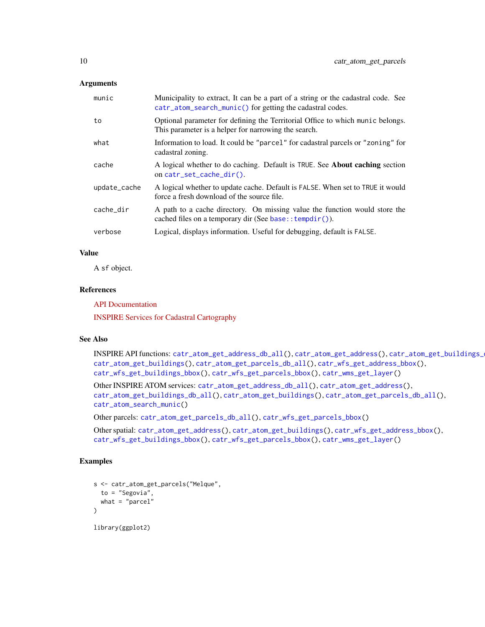#### <span id="page-9-0"></span>**Arguments**

| munic        | Municipality to extract, It can be a part of a string or the cadastral code. See<br>catr_atom_search_munic() for getting the cadastral codes. |
|--------------|-----------------------------------------------------------------------------------------------------------------------------------------------|
| to           | Optional parameter for defining the Territorial Office to which munic belongs.<br>This parameter is a helper for narrowing the search.        |
| what         | Information to load. It could be "parcel" for cadastral parcels or "zoning" for<br>cadastral zoning.                                          |
| cache        | A logical whether to do caching. Default is TRUE. See <b>About caching</b> section<br>on catr_set_cache_dir().                                |
| update_cache | A logical whether to update cache. Default is FALSE. When set to TRUE it would<br>force a fresh download of the source file.                  |
| cache_dir    | A path to a cache directory. On missing value the function would store the<br>cached files on a temporary dir (See base:: $tempdir()$ ).      |
| verbose      | Logical, displays information. Useful for debugging, default is FALSE.                                                                        |

# Value

A sf object.

#### References

[API Documentation](https://www.catastro.minhap.es/webinspire/documentos/inspire-ATOM.pdf)

[INSPIRE Services for Cadastral Cartography](https://www.catastro.minhap.es/webinspire/index.html)

# See Also

INSPIRE API functions: [catr\\_atom\\_get\\_address\\_db\\_all\(](#page-3-1)), [catr\\_atom\\_get\\_address\(](#page-1-1)), [catr\\_atom\\_get\\_buildings\\_db\\_all\(](#page-6-1)), [catr\\_atom\\_get\\_buildings\(](#page-5-1)), [catr\\_atom\\_get\\_parcels\\_db\\_all\(](#page-10-1)), [catr\\_wfs\\_get\\_address\\_bbox\(](#page-24-1)), [catr\\_wfs\\_get\\_buildings\\_bbox\(](#page-26-1)), [catr\\_wfs\\_get\\_parcels\\_bbox\(](#page-28-1)), [catr\\_wms\\_get\\_layer\(](#page-31-1))

Other INSPIRE ATOM services: [catr\\_atom\\_get\\_address\\_db\\_all\(](#page-3-1)), [catr\\_atom\\_get\\_address\(](#page-1-1)), [catr\\_atom\\_get\\_buildings\\_db\\_all\(](#page-6-1)), [catr\\_atom\\_get\\_buildings\(](#page-5-1)), [catr\\_atom\\_get\\_parcels\\_db\\_all\(](#page-10-1)), [catr\\_atom\\_search\\_munic\(](#page-12-1))

Other parcels: [catr\\_atom\\_get\\_parcels\\_db\\_all\(](#page-10-1)), [catr\\_wfs\\_get\\_parcels\\_bbox\(](#page-28-1))

Other spatial: [catr\\_atom\\_get\\_address\(](#page-1-1)), [catr\\_atom\\_get\\_buildings\(](#page-5-1)), [catr\\_wfs\\_get\\_address\\_bbox\(](#page-24-1)), [catr\\_wfs\\_get\\_buildings\\_bbox\(](#page-26-1)), [catr\\_wfs\\_get\\_parcels\\_bbox\(](#page-28-1)), [catr\\_wms\\_get\\_layer\(](#page-31-1))

# Examples

```
s <- catr_atom_get_parcels("Melque",
  to = "Segovia",
  what = "parent"\lambdalibrary(ggplot2)
```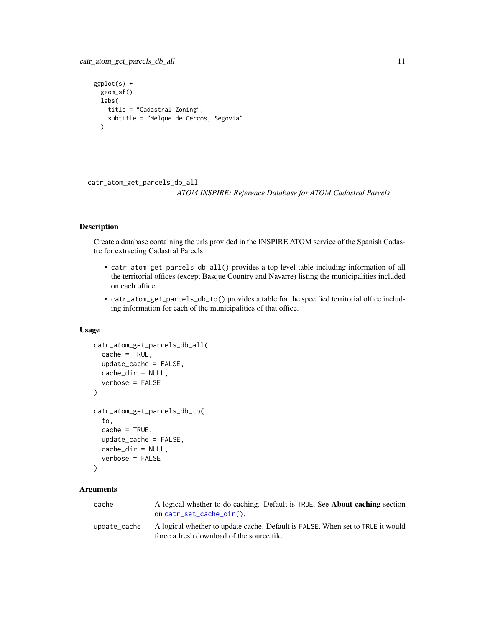```
catr_atom_get_parcels_db_all 11
```

```
ggplot(s) +
  geom_sf() +
  labs(
    title = "Cadastral Zoning",
    subtitle = "Melque de Cercos, Segovia"
  \lambda
```
<span id="page-10-1"></span>catr\_atom\_get\_parcels\_db\_all *ATOM INSPIRE: Reference Database for ATOM Cadastral Parcels*

# Description

Create a database containing the urls provided in the INSPIRE ATOM service of the Spanish Cadastre for extracting Cadastral Parcels.

- catr\_atom\_get\_parcels\_db\_all() provides a top-level table including information of all the territorial offices (except Basque Country and Navarre) listing the municipalities included on each office.
- catr\_atom\_get\_parcels\_db\_to() provides a table for the specified territorial office including information for each of the municipalities of that office.

#### Usage

```
catr_atom_get_parcels_db_all(
  cache = TRUE,update_cache = FALSE,
  cache_dir = NULL,
  verbose = FALSE
)
catr_atom_get_parcels_db_to(
  to,
  cache = TRUE,update_cache = FALSE,
  cache_dir = NULL,
  verbose = FALSE
)
```
# **Arguments**

| cache        | A logical whether to do caching. Default is TRUE. See <b>About caching</b> section<br>on $cart\_set\_cache\_dir()$ .         |
|--------------|------------------------------------------------------------------------------------------------------------------------------|
| update_cache | A logical whether to update cache. Default is FALSE. When set to TRUE it would<br>force a fresh download of the source file. |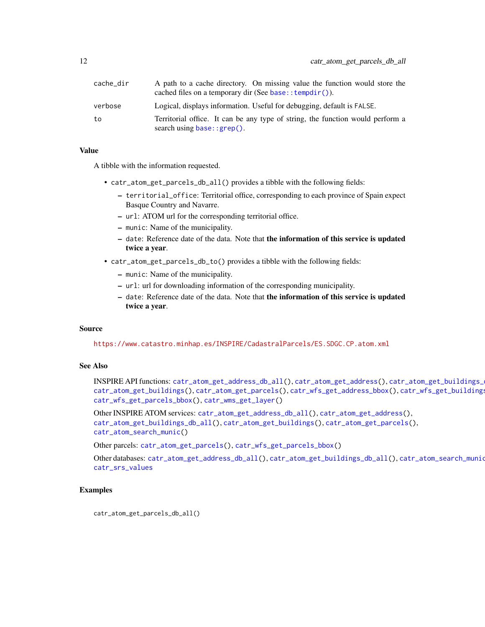<span id="page-11-0"></span>

| cache_dir | A path to a cache directory. On missing value the function would store the<br>cached files on a temporary dir (See base:: tempdir()). |
|-----------|---------------------------------------------------------------------------------------------------------------------------------------|
| verbose   | Logical, displays information. Useful for debugging, default is FALSE.                                                                |
| to        | Territorial office. It can be any type of string, the function would perform a<br>search using $base::green()$ .                      |

#### Value

A tibble with the information requested.

- catr\_atom\_get\_parcels\_db\_all() provides a tibble with the following fields:
	- territorial\_office: Territorial office, corresponding to each province of Spain expect Basque Country and Navarre.
	- url: ATOM url for the corresponding territorial office.
	- munic: Name of the municipality.
	- date: Reference date of the data. Note that the information of this service is updated twice a year.
- catr\_atom\_get\_parcels\_db\_to() provides a tibble with the following fields:
	- munic: Name of the municipality.
	- url: url for downloading information of the corresponding municipality.
	- date: Reference date of the data. Note that the information of this service is updated twice a year.

#### Source

<https://www.catastro.minhap.es/INSPIRE/CadastralParcels/ES.SDGC.CP.atom.xml>

# See Also

INSPIRE API functions: [catr\\_atom\\_get\\_address\\_db\\_all\(](#page-3-1)), [catr\\_atom\\_get\\_address\(](#page-1-1)), [catr\\_atom\\_get\\_buildings\\_db\\_all\(](#page-6-1)), [catr\\_atom\\_get\\_buildings\(](#page-5-1)), [catr\\_atom\\_get\\_parcels\(](#page-8-1)), [catr\\_wfs\\_get\\_address\\_bbox\(](#page-24-1)), [catr\\_wfs\\_get\\_buildings\\_bbox\(](#page-26-1)), [catr\\_wfs\\_get\\_parcels\\_bbox\(](#page-28-1)), [catr\\_wms\\_get\\_layer\(](#page-31-1))

Other INSPIRE ATOM services: [catr\\_atom\\_get\\_address\\_db\\_all\(](#page-3-1)), [catr\\_atom\\_get\\_address\(](#page-1-1)), [catr\\_atom\\_get\\_buildings\\_db\\_all\(](#page-6-1)), [catr\\_atom\\_get\\_buildings\(](#page-5-1)), [catr\\_atom\\_get\\_parcels\(](#page-8-1)), [catr\\_atom\\_search\\_munic\(](#page-12-1))

Other parcels: [catr\\_atom\\_get\\_parcels\(](#page-8-1)), [catr\\_wfs\\_get\\_parcels\\_bbox\(](#page-28-1))

Other databases: [catr\\_atom\\_get\\_address\\_db\\_all\(](#page-3-1)), [catr\\_atom\\_get\\_buildings\\_db\\_all\(](#page-6-1)), [catr\\_atom\\_search\\_munic\(](#page-12-1)), [catr\\_srs\\_values](#page-23-1)

#### Examples

catr\_atom\_get\_parcels\_db\_all()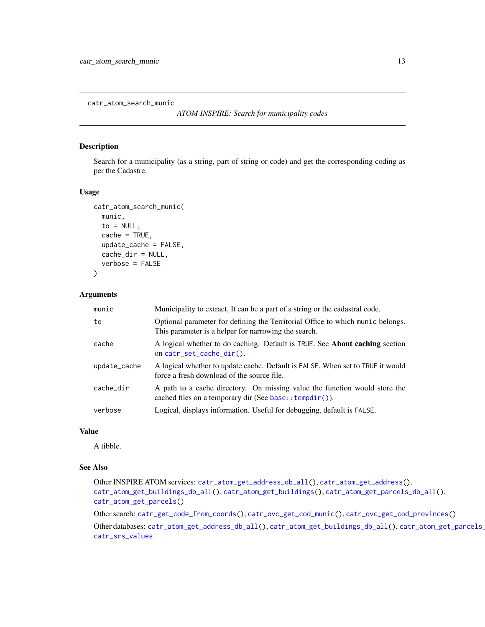<span id="page-12-1"></span><span id="page-12-0"></span>catr\_atom\_search\_munic

*ATOM INSPIRE: Search for municipality codes*

#### Description

Search for a municipality (as a string, part of string or code) and get the corresponding coding as per the Cadastre.

# Usage

```
catr_atom_search_munic(
 munic,
  to = NULL,cache = TRUE,update_cache = FALSE,
 cache_dir = NULL,
  verbose = FALSE
)
```
#### Arguments

| munic        | Municipality to extract, It can be a part of a string or the cadastral code.                                                             |
|--------------|------------------------------------------------------------------------------------------------------------------------------------------|
| to           | Optional parameter for defining the Territorial Office to which munic belongs.<br>This parameter is a helper for narrowing the search.   |
| cache        | A logical whether to do caching. Default is TRUE. See About caching section<br>on catr_set_cache_dir().                                  |
| update_cache | A logical whether to update cache. Default is FALSE. When set to TRUE it would<br>force a fresh download of the source file.             |
| cache_dir    | A path to a cache directory. On missing value the function would store the<br>cached files on a temporary dir (See base:: $tempdir()$ ). |
| verbose      | Logical, displays information. Useful for debugging, default is FALSE.                                                                   |

# Value

A tibble.

# See Also

Other INSPIRE ATOM services: [catr\\_atom\\_get\\_address\\_db\\_all\(](#page-3-1)), [catr\\_atom\\_get\\_address\(](#page-1-1)), [catr\\_atom\\_get\\_buildings\\_db\\_all\(](#page-6-1)), [catr\\_atom\\_get\\_buildings\(](#page-5-1)), [catr\\_atom\\_get\\_parcels\\_db\\_all\(](#page-10-1)), [catr\\_atom\\_get\\_parcels\(](#page-8-1))

Other search: [catr\\_get\\_code\\_from\\_coords\(](#page-14-1)), [catr\\_ovc\\_get\\_cod\\_munic\(](#page-15-1)), [catr\\_ovc\\_get\\_cod\\_provinces\(](#page-16-1))

Other databases: [catr\\_atom\\_get\\_address\\_db\\_all\(](#page-3-1)), [catr\\_atom\\_get\\_buildings\\_db\\_all\(](#page-6-1)), catr\_atom\_get\_parcels\_ [catr\\_srs\\_values](#page-23-1)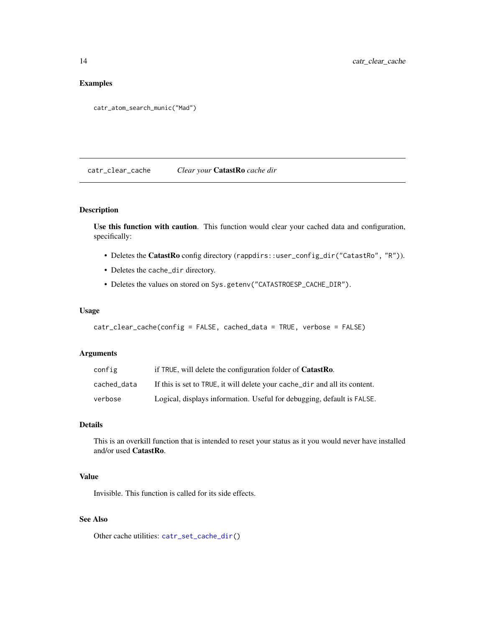# <span id="page-13-0"></span>Examples

```
catr_atom_search_munic("Mad")
```
<span id="page-13-1"></span>catr\_clear\_cache *Clear your* CatastRo *cache dir*

# Description

Use this function with caution. This function would clear your cached data and configuration, specifically:

- Deletes the CatastRo config directory (rappdirs::user\_config\_dir("CatastRo", "R")).
- Deletes the cache\_dir directory.
- Deletes the values on stored on Sys.getenv("CATASTROESP\_CACHE\_DIR").

#### Usage

```
catr_clear_cache(config = FALSE, cached_data = TRUE, verbose = FALSE)
```
# Arguments

| config      | if TRUE, will delete the configuration folder of <b>CatastRo</b> .         |
|-------------|----------------------------------------------------------------------------|
| cached data | If this is set to TRUE, it will delete your cache_dir and all its content. |
| verbose     | Logical, displays information. Useful for debugging, default is FALSE.     |

# Details

This is an overkill function that is intended to reset your status as it you would never have installed and/or used CatastRo.

# Value

Invisible. This function is called for its side effects.

# See Also

Other cache utilities: [catr\\_set\\_cache\\_dir\(](#page-22-1))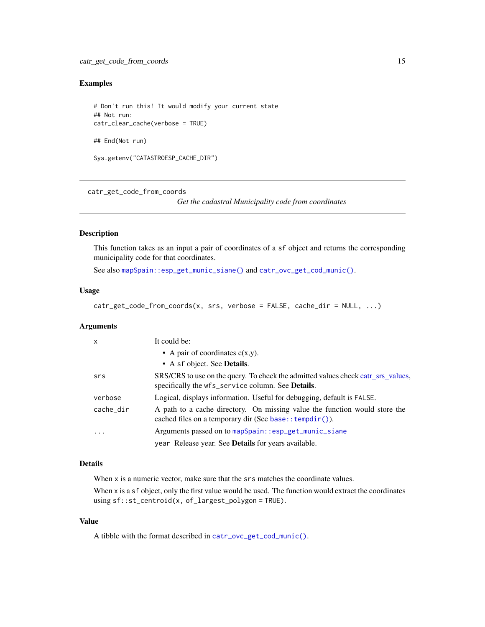# <span id="page-14-0"></span>Examples

```
# Don't run this! It would modify your current state
## Not run:
catr_clear_cache(verbose = TRUE)
## End(Not run)
Sys.getenv("CATASTROESP_CACHE_DIR")
```
<span id="page-14-1"></span>catr\_get\_code\_from\_coords

*Get the cadastral Municipality code from coordinates*

#### Description

This function takes as an input a pair of coordinates of a sf object and returns the corresponding municipality code for that coordinates.

See also [mapSpain::esp\\_get\\_munic\\_siane\(\)](#page-0-0) and [catr\\_ovc\\_get\\_cod\\_munic\(\)](#page-15-1).

#### Usage

```
catr_get_code_from_coords(x, srs, verbose = FALSE, cache_dir = NULL, ...)
```
# Arguments

| $\mathsf{x}$            | It could be:                                                                                                                             |
|-------------------------|------------------------------------------------------------------------------------------------------------------------------------------|
|                         | • A pair of coordinates $c(x,y)$ .                                                                                                       |
|                         | • A sf object. See <b>Details</b> .                                                                                                      |
| srs                     | SRS/CRS to use on the query. To check the admitted values check catr_srs_values,<br>specifically the wfs_service column. See Details.    |
| verbose                 | Logical, displays information. Useful for debugging, default is FALSE.                                                                   |
| cache_dir               | A path to a cache directory. On missing value the function would store the<br>cached files on a temporary dir (See base:: $tempdir()$ ). |
| $\cdot$ $\cdot$ $\cdot$ | Arguments passed on to mapSpain::esp_get_munic_siane                                                                                     |
|                         | year Release year. See <b>Details</b> for years available.                                                                               |

#### Details

When x is a numeric vector, make sure that the srs matches the coordinate values.

When x is a sf object, only the first value would be used. The function would extract the coordinates using sf::st\_centroid(x, of\_largest\_polygon = TRUE).

# Value

A tibble with the format described in [catr\\_ovc\\_get\\_cod\\_munic\(\)](#page-15-1).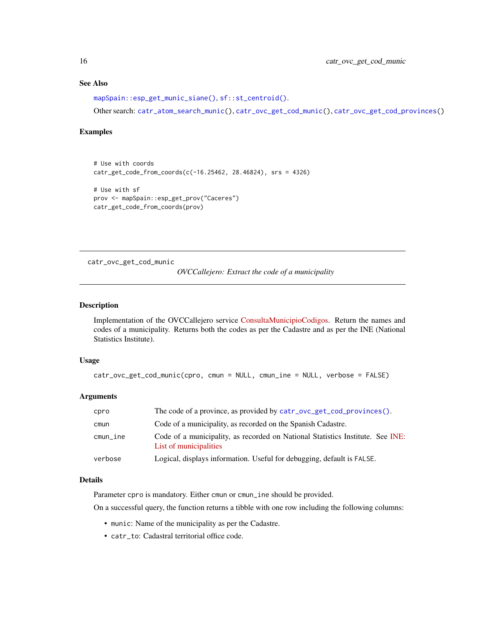# See Also

```
mapSpain::esp_get_munic_siane(), sf::st_centroid().
```
Other search: [catr\\_atom\\_search\\_munic\(](#page-12-1)), [catr\\_ovc\\_get\\_cod\\_munic\(](#page-15-1)), [catr\\_ovc\\_get\\_cod\\_provinces\(](#page-16-1))

#### Examples

```
# Use with coords
catr_get_code_from_coords(c(-16.25462, 28.46824), srs = 4326)
# Use with sf
prov <- mapSpain::esp_get_prov("Caceres")
catr_get_code_from_coords(prov)
```
<span id="page-15-1"></span>catr\_ovc\_get\_cod\_munic

*OVCCallejero: Extract the code of a municipality*

# Description

Implementation of the OVCCallejero service [ConsultaMunicipioCodigos.](http://ovc.catastro.meh.es/ovcservweb/ovcswlocalizacionrc/ovccallejerocodigos.asmx?op=ConsultaMunicipioCodigos) Return the names and codes of a municipality. Returns both the codes as per the Cadastre and as per the INE (National Statistics Institute).

#### Usage

```
catr_ovc_get_cod_munic(cpro, cmun = NULL, cmun_ine = NULL, verbose = FALSE)
```
#### Arguments

| cpro             | The code of a province, as provided by catr_ovc_get_cod_provinces().                                     |
|------------------|----------------------------------------------------------------------------------------------------------|
| cmun             | Code of a municipality, as recorded on the Spanish Cadastre.                                             |
| $c$ mun $_i$ ine | Code of a municipality, as recorded on National Statistics Institute. See INE:<br>List of municipalities |
| verbose          | Logical, displays information. Useful for debugging, default is FALSE.                                   |

#### Details

Parameter cpro is mandatory. Either cmun or cmun\_ine should be provided.

On a successful query, the function returns a tibble with one row including the following columns:

- munic: Name of the municipality as per the Cadastre.
- catr\_to: Cadastral territorial office code.

<span id="page-15-0"></span>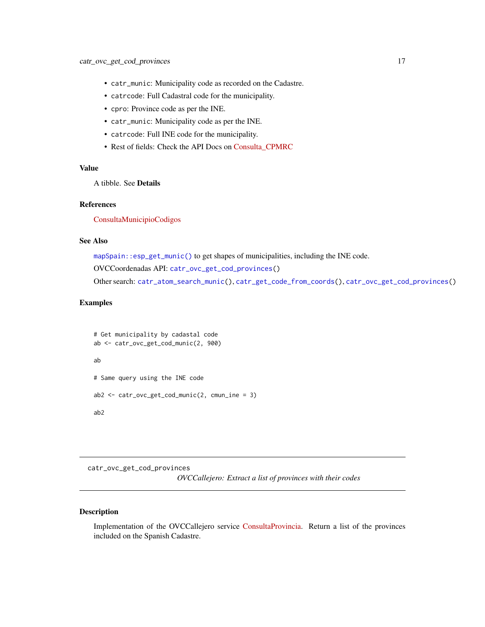- <span id="page-16-0"></span>• catr\_munic: Municipality code as recorded on the Cadastre.
- catrcode: Full Cadastral code for the municipality.
- cpro: Province code as per the INE.
- catr\_munic: Municipality code as per the INE.
- catrcode: Full INE code for the municipality.
- Rest of fields: Check the API Docs on [Consulta\\_CPMRC](https://ovc.catastro.meh.es/ovcservweb/ovcswlocalizacionrc/ovccoordenadas.asmx?op=Consulta_CPMRC)

#### Value

A tibble. See Details

# References

[ConsultaMunicipioCodigos](http://ovc.catastro.meh.es/ovcservweb/ovcswlocalizacionrc/ovccallejerocodigos.asmx?op=ConsultaMunicipioCodigos)

# See Also

[mapSpain::esp\\_get\\_munic\(\)](#page-0-0) to get shapes of municipalities, including the INE code.

OVCCoordenadas API: [catr\\_ovc\\_get\\_cod\\_provinces\(](#page-16-1))

Other search: [catr\\_atom\\_search\\_munic\(](#page-12-1)), [catr\\_get\\_code\\_from\\_coords\(](#page-14-1)), [catr\\_ovc\\_get\\_cod\\_provinces\(](#page-16-1))

#### Examples

```
# Get municipality by cadastal code
ab <- catr_ovc_get_cod_munic(2, 900)
ab
# Same query using the INE code
ab2 \leq catr\_{ovC\_get\_cod\_munic(2, cum\_ine = 3)ab2
```
<span id="page-16-1"></span>catr\_ovc\_get\_cod\_provinces *OVCCallejero: Extract a list of provinces with their codes*

#### Description

Implementation of the OVCCallejero service [ConsultaProvincia.](http://ovc.catastro.meh.es/ovcservweb/ovcswlocalizacionrc/ovccallejerocodigos.asmx?op=ConsultaProvincia) Return a list of the provinces included on the Spanish Cadastre.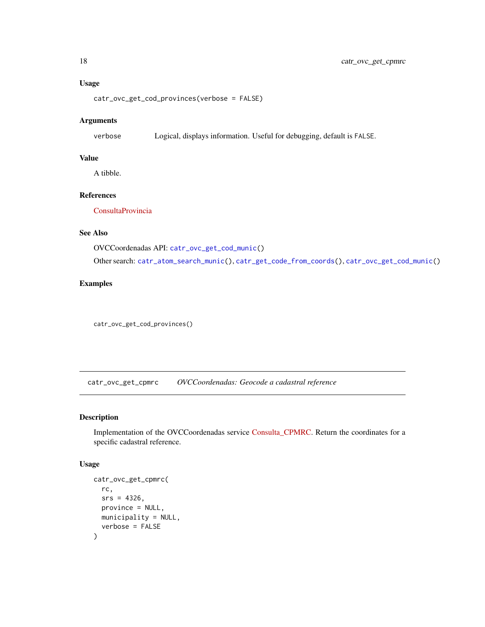# Usage

catr\_ovc\_get\_cod\_provinces(verbose = FALSE)

#### Arguments

verbose Logical, displays information. Useful for debugging, default is FALSE.

# Value

A tibble.

# References

[ConsultaProvincia](http://ovc.catastro.meh.es/ovcservweb/ovcswlocalizacionrc/ovccallejerocodigos.asmx?op=ConsultaProvincia)

# See Also

OVCCoordenadas API: [catr\\_ovc\\_get\\_cod\\_munic\(](#page-15-1))

Other search: [catr\\_atom\\_search\\_munic\(](#page-12-1)), [catr\\_get\\_code\\_from\\_coords\(](#page-14-1)), [catr\\_ovc\\_get\\_cod\\_munic\(](#page-15-1))

# Examples

catr\_ovc\_get\_cod\_provinces()

<span id="page-17-1"></span>catr\_ovc\_get\_cpmrc *OVCCoordenadas: Geocode a cadastral reference*

# Description

Implementation of the OVCCoordenadas service [Consulta\\_CPMRC.](https://ovc.catastro.meh.es/ovcservweb/ovcswlocalizacionrc/ovccoordenadas.asmx?op=Consulta_CPMRC) Return the coordinates for a specific cadastral reference.

#### Usage

```
catr_ovc_get_cpmrc(
  rc,
  srs = 4326,
 province = NULL,
 municipality = NULL,
  verbose = FALSE
)
```
<span id="page-17-0"></span>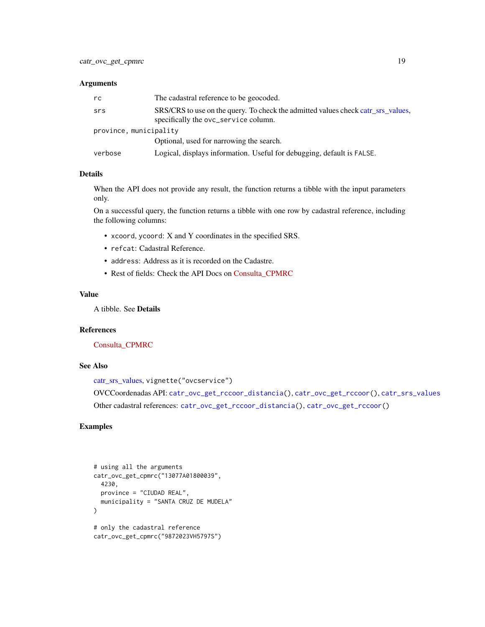#### <span id="page-18-0"></span>**Arguments**

| rc                     | The cadastral reference to be geocoded.                                                                                  |  |
|------------------------|--------------------------------------------------------------------------------------------------------------------------|--|
| srs                    | SRS/CRS to use on the query. To check the admitted values check catr_srs_values,<br>specifically the ovc_service column. |  |
| province, municipality |                                                                                                                          |  |
|                        | Optional, used for narrowing the search.                                                                                 |  |
| verbose                | Logical, displays information. Useful for debugging, default is FALSE.                                                   |  |

# Details

When the API does not provide any result, the function returns a tibble with the input parameters only.

On a successful query, the function returns a tibble with one row by cadastral reference, including the following columns:

- xcoord, ycoord: X and Y coordinates in the specified SRS.
- refcat: Cadastral Reference.
- address: Address as it is recorded on the Cadastre.
- Rest of fields: Check the API Docs on [Consulta\\_CPMRC](https://ovc.catastro.meh.es/ovcservweb/ovcswlocalizacionrc/ovccoordenadas.asmx?op=Consulta_CPMRC)

#### Value

A tibble. See Details

#### References

[Consulta\\_CPMRC](https://ovc.catastro.meh.es/ovcservweb/ovcswlocalizacionrc/ovccoordenadas.asmx?op=Consulta_CPMRC)

# See Also

```
catr_srs_values, vignette("ovcservice")
OVCCoordenadas API: catr_ovc_get_rccoor_distancia(), catr_ovc_get_rccoor(), catr_srs_values
```
# Other cadastral references: [catr\\_ovc\\_get\\_rccoor\\_distancia\(](#page-20-1)), [catr\\_ovc\\_get\\_rccoor\(](#page-19-1))

# Examples

```
# using all the arguments
catr_ovc_get_cpmrc("13077A01800039",
 4230,
 province = "CIUDAD REAL",
 municipality = "SANTA CRUZ DE MUDELA"
)
# only the cadastral reference
catr_ovc_get_cpmrc("9872023VH5797S")
```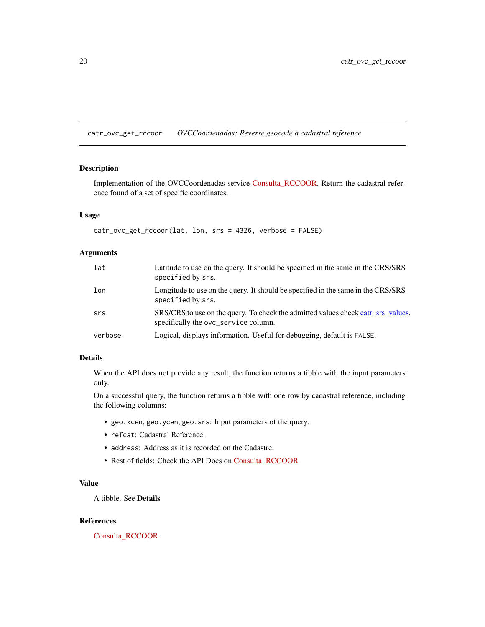<span id="page-19-1"></span><span id="page-19-0"></span>catr\_ovc\_get\_rccoor *OVCCoordenadas: Reverse geocode a cadastral reference*

# Description

Implementation of the OVCCoordenadas service [Consulta\\_RCCOOR.](https://ovc.catastro.meh.es/ovcservweb/ovcswlocalizacionrc/ovccoordenadas.asmx?op=Consulta_RCCOOR) Return the cadastral reference found of a set of specific coordinates.

#### Usage

```
catr_ovc_get_rccoor(lat, lon, srs = 4326, verbose = FALSE)
```
# Arguments

| lat     | Latitude to use on the query. It should be specified in the same in the CRS/SRS<br>specified by srs.                     |
|---------|--------------------------------------------------------------------------------------------------------------------------|
| lon     | Longitude to use on the query. It should be specified in the same in the CRS/SRS<br>specified by srs.                    |
| srs     | SRS/CRS to use on the query. To check the admitted values check catr_srs_values,<br>specifically the ovc_service column. |
| verbose | Logical, displays information. Useful for debugging, default is FALSE.                                                   |

# Details

When the API does not provide any result, the function returns a tibble with the input parameters only.

On a successful query, the function returns a tibble with one row by cadastral reference, including the following columns:

- geo.xcen, geo.ycen, geo.srs: Input parameters of the query.
- refcat: Cadastral Reference.
- address: Address as it is recorded on the Cadastre.
- Rest of fields: Check the API Docs on [Consulta\\_RCCOOR](https://ovc.catastro.meh.es/ovcservweb/ovcswlocalizacionrc/ovccoordenadas.asmx?op=Consulta_RCCOOR)

# Value

A tibble. See Details

#### References

[Consulta\\_RCCOOR](https://ovc.catastro.meh.es/ovcservweb/ovcswlocalizacionrc/ovccoordenadas.asmx?op=Consulta_RCCOOR)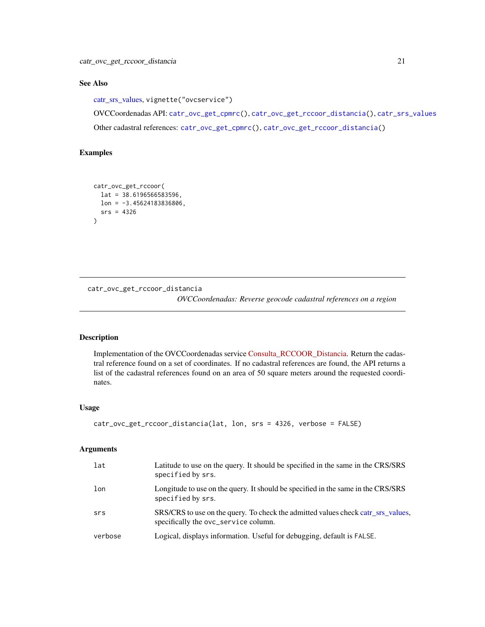# <span id="page-20-0"></span>See Also

[catr\\_srs\\_values,](#page-23-1) vignette("ovcservice")

OVCCoordenadas API: [catr\\_ovc\\_get\\_cpmrc\(](#page-17-1)), [catr\\_ovc\\_get\\_rccoor\\_distancia\(](#page-20-1)), [catr\\_srs\\_values](#page-23-1) Other cadastral references: [catr\\_ovc\\_get\\_cpmrc\(](#page-17-1)), [catr\\_ovc\\_get\\_rccoor\\_distancia\(](#page-20-1))

# Examples

```
catr_ovc_get_rccoor(
  lat = 38.6196566583596,
 lon = -3.45624183836806,srs = 4326
)
```
<span id="page-20-1"></span>catr\_ovc\_get\_rccoor\_distancia

*OVCCoordenadas: Reverse geocode cadastral references on a region*

# Description

Implementation of the OVCCoordenadas service [Consulta\\_RCCOOR\\_Distancia.](https://ovc.catastro.meh.es/ovcservweb/ovcswlocalizacionrc/ovccoordenadas.asmx?op=Consulta_RCCOOR_Distancia) Return the cadastral reference found on a set of coordinates. If no cadastral references are found, the API returns a list of the cadastral references found on an area of 50 square meters around the requested coordinates.

#### Usage

```
catr_ovc_get_rccoor_distancia(lat, lon, srs = 4326, verbose = FALSE)
```
#### Arguments

| lat     | Latitude to use on the query. It should be specified in the same in the CRS/SRS<br>specified by srs.                     |
|---------|--------------------------------------------------------------------------------------------------------------------------|
| lon     | Longitude to use on the query. It should be specified in the same in the CRS/SRS<br>specified by srs.                    |
| srs     | SRS/CRS to use on the query. To check the admitted values check catr_srs_values,<br>specifically the ovc_service column. |
| verbose | Logical, displays information. Useful for debugging, default is FALSE.                                                   |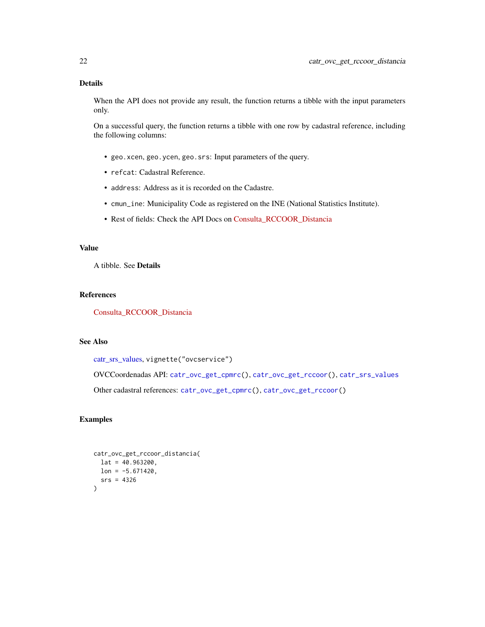# <span id="page-21-0"></span>Details

When the API does not provide any result, the function returns a tibble with the input parameters only.

On a successful query, the function returns a tibble with one row by cadastral reference, including the following columns:

- geo.xcen, geo.ycen, geo.srs: Input parameters of the query.
- refcat: Cadastral Reference.
- address: Address as it is recorded on the Cadastre.
- cmun\_ine: Municipality Code as registered on the INE (National Statistics Institute).
- Rest of fields: Check the API Docs on [Consulta\\_RCCOOR\\_Distancia](https://ovc.catastro.meh.es/ovcservweb/ovcswlocalizacionrc/ovccoordenadas.asmx?op=Consulta_RCCOOR_Distancia)

# Value

A tibble. See Details

#### References

[Consulta\\_RCCOOR\\_Distancia](https://ovc.catastro.meh.es/ovcservweb/ovcswlocalizacionrc/ovccoordenadas.asmx?op=Consulta_RCCOOR_Distancia)

# See Also

```
catr_srs_values, vignette("ovcservice")
```
OVCCoordenadas API: [catr\\_ovc\\_get\\_cpmrc\(](#page-17-1)), [catr\\_ovc\\_get\\_rccoor\(](#page-19-1)), [catr\\_srs\\_values](#page-23-1)

Other cadastral references: [catr\\_ovc\\_get\\_cpmrc\(](#page-17-1)), [catr\\_ovc\\_get\\_rccoor\(](#page-19-1))

# Examples

```
catr_ovc_get_rccoor_distancia(
  lat = 40.963200,lon = -5.671420,srs = 4326
\overline{)}
```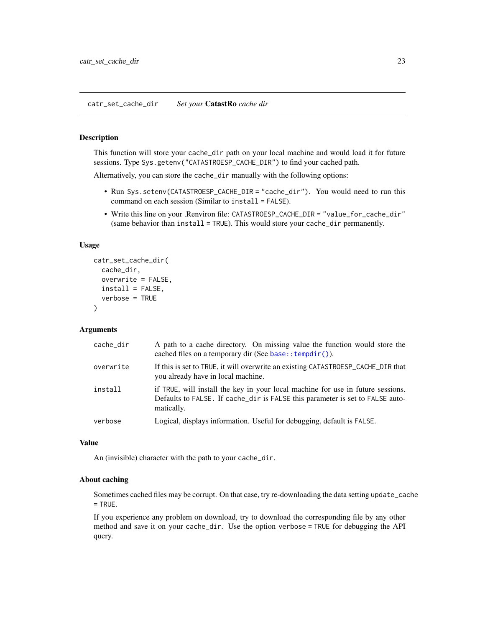#### <span id="page-22-1"></span><span id="page-22-0"></span>Description

This function will store your cache\_dir path on your local machine and would load it for future sessions. Type Sys.getenv("CATASTROESP\_CACHE\_DIR") to find your cached path.

Alternatively, you can store the cache\_dir manually with the following options:

- Run Sys.setenv(CATASTROESP\_CACHE\_DIR = "cache\_dir"). You would need to run this command on each session (Similar to install = FALSE).
- Write this line on your .Renviron file: CATASTROESP\_CACHE\_DIR = "value\_for\_cache\_dir" (same behavior than install = TRUE). This would store your cache\_dir permanently.

#### Usage

```
catr_set_cache_dir(
  cache_dir,
  overwrite = FALSE,
  install = FALSE,verbose = TRUE
)
```
#### Arguments

| cache_dir | A path to a cache directory. On missing value the function would store the<br>cached files on a temporary dir (See base:: $tempdir()$ ).                                       |
|-----------|--------------------------------------------------------------------------------------------------------------------------------------------------------------------------------|
| overwrite | If this is set to TRUE, it will overwrite an existing CATASTROESP_CACHE_DIR that<br>you already have in local machine.                                                         |
| install   | if TRUE, will install the key in your local machine for use in future sessions.<br>Defaults to FALSE. If cache_dir is FALSE this parameter is set to FALSE auto-<br>matically. |
| verbose   | Logical, displays information. Useful for debugging, default is FALSE.                                                                                                         |

#### Value

An (invisible) character with the path to your cache\_dir.

#### About caching

Sometimes cached files may be corrupt. On that case, try re-downloading the data setting update\_cache  $=$  TRUE.

If you experience any problem on download, try to download the corresponding file by any other method and save it on your cache\_dir. Use the option verbose = TRUE for debugging the API query.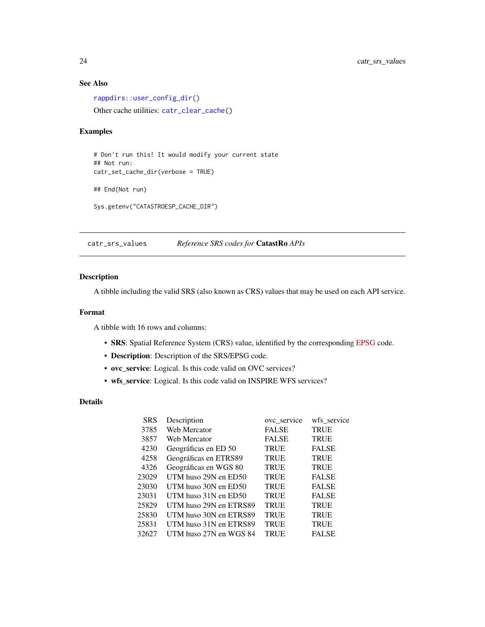# See Also

[rappdirs::user\\_config\\_dir\(\)](#page-0-0) Other cache utilities: [catr\\_clear\\_cache\(](#page-13-1))

# Examples

```
# Don't run this! It would modify your current state
## Not run:
catr_set_cache_dir(verbose = TRUE)
## End(Not run)
Sys.getenv("CATASTROESP_CACHE_DIR")
```
<span id="page-23-1"></span>catr\_srs\_values *Reference SRS codes for* CatastRo *APIs*

# Description

A tibble including the valid SRS (also known as CRS) values that may be used on each API service.

#### Format

A tibble with 16 rows and columns:

- SRS: Spatial Reference System (CRS) value, identified by the corresponding [EPSG](https://en.wikipedia.org/wiki/EPSG_Geodetic_Parameter_Dataset) code.
- Description: Description of the SRS/EPSG code.
- ovc\_service: Logical. Is this code valid on OVC services?
- wfs\_service: Logical. Is this code valid on INSPIRE WFS services?

# Details

| <b>SRS</b> | Description              | ove service  | wfs_service  |
|------------|--------------------------|--------------|--------------|
| 3785       | Web Mercator             | <b>FALSE</b> | <b>TRUE</b>  |
| 3857       | Web Mercator             | <b>FALSE</b> | <b>TRUE</b>  |
| 4230       | Geográficas en ED 50     | <b>TRUE</b>  | <b>FALSE</b> |
| 4258       | Geográficas en ETRS89    | <b>TRUE</b>  | <b>TRUE</b>  |
| 4326       | Geográficas en WGS 80    | <b>TRUE</b>  | <b>TRUE</b>  |
| 23029      | UTM huso 29N en ED50     | <b>TRUE</b>  | <b>FALSE</b> |
| 23030      | UTM huso 30N en ED50     | <b>TRUE</b>  | <b>FALSE</b> |
| 23031      | UTM huso $31N$ en $ED50$ | <b>TRUE</b>  | <b>FALSE</b> |
| 25829      | UTM huso 29N en ETRS89   | <b>TRUE</b>  | <b>TRUE</b>  |
| 25830      | UTM huso 30N en ETRS89   | <b>TRUE</b>  | <b>TRUE</b>  |
| 25831      | UTM huso 31N en ETRS89   | <b>TRUE</b>  | <b>TRUE</b>  |
| 32627      | UTM huso 27N en WGS 84   | <b>TRUE</b>  | <b>FALSE</b> |

<span id="page-23-0"></span>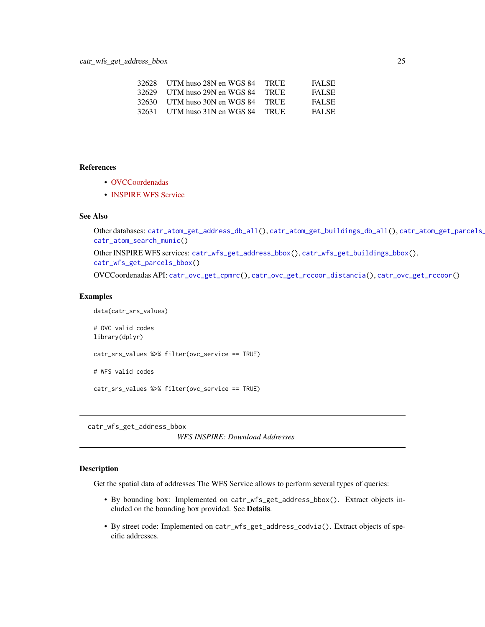<span id="page-24-0"></span>

| 32628 | UTM huso 28N en WGS 84       | <b>TRUE</b> | <b>FALSE</b> |
|-------|------------------------------|-------------|--------------|
|       | 32629 UTM huso 29N en WGS 84 | - TRUE      | <b>FALSE</b> |
|       | 32630 UTM huso 30N en WGS 84 | - TRUE      | <b>FALSE</b> |
| 32631 | UTM huso 31N en WGS 84       | <b>TRUE</b> | <b>FALSE</b> |

#### References

- [OVCCoordenadas](https://ovc.catastro.meh.es/ovcservweb/ovcswlocalizacionrc/ovccoordenadas.asmx)
- [INSPIRE WFS Service](https://www.catastro.minhap.es/webinspire/index.html)

# See Also

```
catr_atom_get_address_db_all(catr_atom_get_buildings_db_all(), catr_atom_get_parcels_
catr_atom_search_munic()
```
Other INSPIRE WFS services: [catr\\_wfs\\_get\\_address\\_bbox\(](#page-24-1)), [catr\\_wfs\\_get\\_buildings\\_bbox\(](#page-26-1)), [catr\\_wfs\\_get\\_parcels\\_bbox\(](#page-28-1))

OVCCoordenadas API: [catr\\_ovc\\_get\\_cpmrc\(](#page-17-1)), [catr\\_ovc\\_get\\_rccoor\\_distancia\(](#page-20-1)), [catr\\_ovc\\_get\\_rccoor\(](#page-19-1))

#### Examples

```
data(catr_srs_values)
# OVC valid codes
library(dplyr)
catr_srs_values %>% filter(ovc_service == TRUE)
# WFS valid codes
catr_srs_values %>% filter(ovc_service == TRUE)
```
<span id="page-24-1"></span>catr\_wfs\_get\_address\_bbox

*WFS INSPIRE: Download Addresses*

#### Description

Get the spatial data of addresses The WFS Service allows to perform several types of queries:

- By bounding box: Implemented on catr\_wfs\_get\_address\_bbox(). Extract objects included on the bounding box provided. See Details.
- By street code: Implemented on catr\_wfs\_get\_address\_codvia(). Extract objects of specific addresses.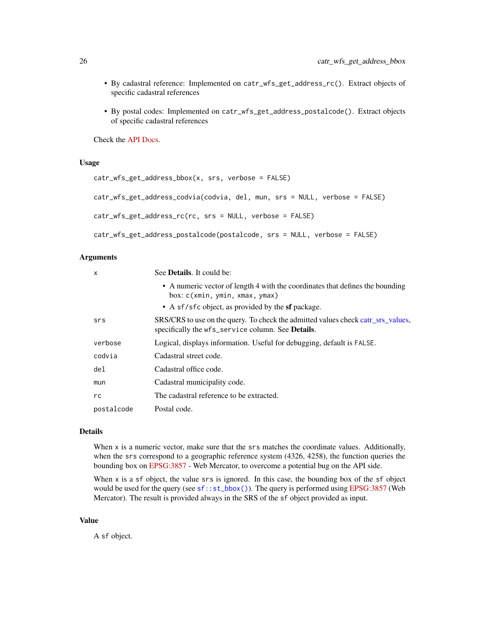- <span id="page-25-0"></span>• By cadastral reference: Implemented on catr\_wfs\_get\_address\_rc(). Extract objects of specific cadastral references
- By postal codes: Implemented on catr\_wfs\_get\_address\_postalcode(). Extract objects of specific cadastral references

Check the [API Docs.](https://www.catastro.minhap.es/webinspire/documentos/inspire-ad-WFS.pdf)

#### Usage

```
catr_wfs_get_address_bbox(x, srs, verbose = FALSE)
catr_wfs_get_address_codvia(codvia, del, mun, srs = NULL, verbose = FALSE)
catr_wfs_get_address_rc(rc, srs = NULL, verbose = FALSE)
catr_wfs_get_address_postalcode(postalcode, srs = NULL, verbose = FALSE)
```
#### Arguments

| X          | See <b>Details</b> . It could be:                                                                                                             |
|------------|-----------------------------------------------------------------------------------------------------------------------------------------------|
|            | • A numeric vector of length 4 with the coordinates that defines the bounding<br>box: c(xmin, ymin, xmax, ymax)                               |
|            | • A sf/sfc object, as provided by the <b>sf</b> package.                                                                                      |
| srs        | SRS/CRS to use on the query. To check the admitted values check catr_srs_values,<br>specifically the wfs_service column. See <b>Details</b> . |
| verbose    | Logical, displays information. Useful for debugging, default is FALSE.                                                                        |
| codvia     | Cadastral street code.                                                                                                                        |
| del        | Cadastral office code.                                                                                                                        |
| mun        | Cadastral municipality code.                                                                                                                  |
| rc         | The cadastral reference to be extracted.                                                                                                      |
| postalcode | Postal code.                                                                                                                                  |

#### Details

When x is a numeric vector, make sure that the srs matches the coordinate values. Additionally, when the srs correspond to a geographic reference system (4326, 4258), the function queries the bounding box on [EPSG:3857](https://epsg.io/3857) - Web Mercator, to overcome a potential bug on the API side.

When x is a sf object, the value srs is ignored. In this case, the bounding box of the sf object would be used for the query (see  $sf::st\_bbox()$ ). The query is performed using [EPSG:3857](https://epsg.io/3857) (Web Mercator). The result is provided always in the SRS of the sf object provided as input.

#### Value

A sf object.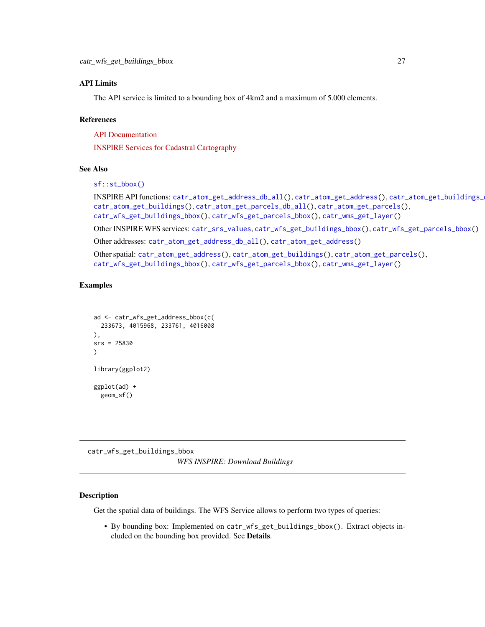#### <span id="page-26-0"></span>API Limits

The API service is limited to a bounding box of 4km2 and a maximum of 5.000 elements.

#### References

[API Documentation](https://www.catastro.minhap.es/webinspire/documentos/inspire-ad-WFS.pdf)

[INSPIRE Services for Cadastral Cartography](https://www.catastro.minhap.es/webinspire/index.html)

#### See Also

```
sf::st_bbox()
```

```
INSPIRE API functions: catr_atom_get_address_db_all(), catr_atom_get_address(), catr_atom_get_buildings_db_all(),
catr_atom_get_buildings(), catr_atom_get_parcels_db_all(), catr_atom_get_parcels(),
catr_wfs_get_buildings_bbox(), catr_wfs_get_parcels_bbox(), catr_wms_get_layer()
```
Other INSPIRE WFS services: [catr\\_srs\\_values](#page-23-1), [catr\\_wfs\\_get\\_buildings\\_bbox\(](#page-26-1)), [catr\\_wfs\\_get\\_parcels\\_bbox\(](#page-28-1))

Other addresses: [catr\\_atom\\_get\\_address\\_db\\_all\(](#page-3-1)), [catr\\_atom\\_get\\_address\(](#page-1-1))

Other spatial: [catr\\_atom\\_get\\_address\(](#page-1-1)), [catr\\_atom\\_get\\_buildings\(](#page-5-1)), [catr\\_atom\\_get\\_parcels\(](#page-8-1)), [catr\\_wfs\\_get\\_buildings\\_bbox\(](#page-26-1)), [catr\\_wfs\\_get\\_parcels\\_bbox\(](#page-28-1)), [catr\\_wms\\_get\\_layer\(](#page-31-1))

#### Examples

```
ad <- catr_wfs_get_address_bbox(c(
 233673, 4015968, 233761, 4016008
),
srs = 25830
\lambdalibrary(ggplot2)
ggplot(ad) +
  geom_sf()
```
<span id="page-26-1"></span>catr\_wfs\_get\_buildings\_bbox *WFS INSPIRE: Download Buildings*

#### Description

Get the spatial data of buildings. The WFS Service allows to perform two types of queries:

• By bounding box: Implemented on catr\_wfs\_get\_buildings\_bbox(). Extract objects included on the bounding box provided. See Details.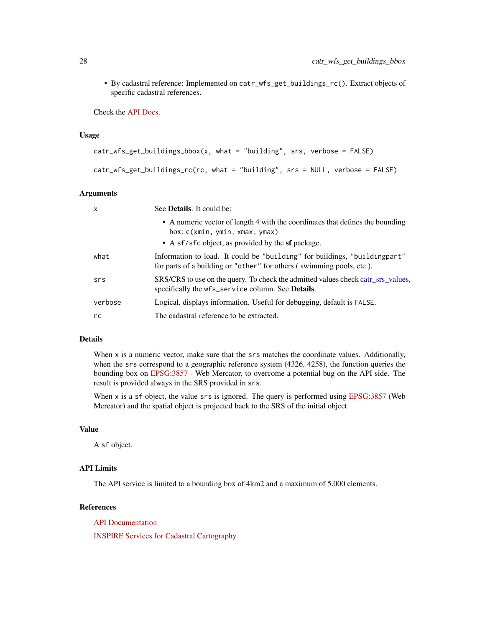• By cadastral reference: Implemented on catr\_wfs\_get\_buildings\_rc(). Extract objects of specific cadastral references.

Check the [API Docs.](https://www.catastro.minhap.es/webinspire/documentos/inspire-bu-WFS.pdf)

#### Usage

```
catr_wfs_get_buildings_bbox(x, what = "building", srs, verbose = FALSE)
catr_wfs_get_buildings_rc(rc, what = "building", srs = NULL, verbose = FALSE)
```
#### Arguments

| $\boldsymbol{\mathsf{x}}$ | See <b>Details</b> . It could be:                                                                                                                                           |
|---------------------------|-----------------------------------------------------------------------------------------------------------------------------------------------------------------------------|
|                           | • A numeric vector of length 4 with the coordinates that defines the bounding<br>box: c(xmin, ymin, xmax, ymax)<br>• A sf/sfc object, as provided by the <b>sf</b> package. |
| what                      | Information to load. It could be "building" for buildings, "building part"<br>for parts of a building or "other" for others (swimming pools, etc.).                         |
| srs                       | SRS/CRS to use on the query. To check the admitted values check catr_srs_values,<br>specifically the wfs_service column. See <b>Details</b> .                               |
| verbose                   | Logical, displays information. Useful for debugging, default is FALSE.                                                                                                      |
| rc                        | The cadastral reference to be extracted.                                                                                                                                    |

# Details

When x is a numeric vector, make sure that the srs matches the coordinate values. Additionally, when the srs correspond to a geographic reference system (4326, 4258), the function queries the bounding box on [EPSG:3857](https://epsg.io/3857) - Web Mercator, to overcome a potential bug on the API side. The result is provided always in the SRS provided in srs.

When x is a sf object, the value srs is ignored. The query is performed using [EPSG:3857](https://epsg.io/3857) (Web Mercator) and the spatial object is projected back to the SRS of the initial object.

# Value

A sf object.

#### API Limits

The API service is limited to a bounding box of 4km2 and a maximum of 5.000 elements.

#### References

[API Documentation](https://www.catastro.minhap.es/webinspire/documentos/inspire-bu-WFS.pdf)

[INSPIRE Services for Cadastral Cartography](https://www.catastro.minhap.es/webinspire/index.html)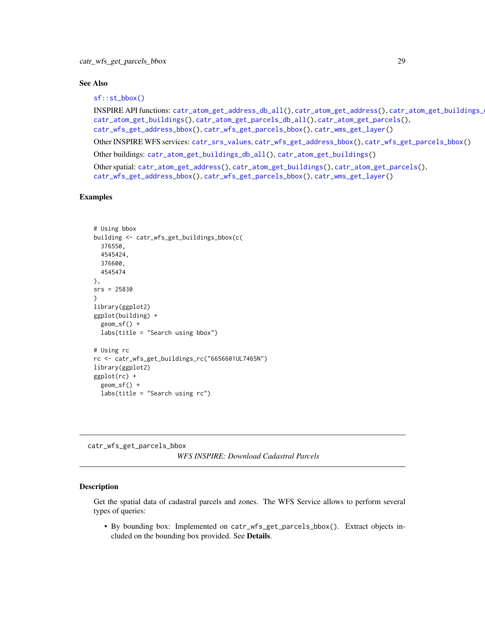#### <span id="page-28-0"></span>See Also

```
sf::st_bbox()
```
INSPIRE API functions: [catr\\_atom\\_get\\_address\\_db\\_all\(](#page-3-1)), [catr\\_atom\\_get\\_address\(](#page-1-1)), [catr\\_atom\\_get\\_buildings\\_db\\_all\(](#page-6-1)), [catr\\_atom\\_get\\_buildings\(](#page-5-1)), [catr\\_atom\\_get\\_parcels\\_db\\_all\(](#page-10-1)), [catr\\_atom\\_get\\_parcels\(](#page-8-1)), [catr\\_wfs\\_get\\_address\\_bbox\(](#page-24-1)), [catr\\_wfs\\_get\\_parcels\\_bbox\(](#page-28-1)), [catr\\_wms\\_get\\_layer\(](#page-31-1))

Other INSPIRE WFS services: [catr\\_srs\\_values](#page-23-1), [catr\\_wfs\\_get\\_address\\_bbox\(](#page-24-1)), [catr\\_wfs\\_get\\_parcels\\_bbox\(](#page-28-1))

Other buildings: [catr\\_atom\\_get\\_buildings\\_db\\_all\(](#page-6-1)), [catr\\_atom\\_get\\_buildings\(](#page-5-1))

Other spatial: [catr\\_atom\\_get\\_address\(](#page-1-1)), [catr\\_atom\\_get\\_buildings\(](#page-5-1)), [catr\\_atom\\_get\\_parcels\(](#page-8-1)), [catr\\_wfs\\_get\\_address\\_bbox\(](#page-24-1)), [catr\\_wfs\\_get\\_parcels\\_bbox\(](#page-28-1)), [catr\\_wms\\_get\\_layer\(](#page-31-1))

#### Examples

```
# Using bbox
building <- catr_wfs_get_buildings_bbox(c(
  376550,
  4545424,
  376600,
  4545474
),
srs = 25830)
library(ggplot2)
ggplot(building) +
  geom_sf() +
  labs(title = "Search using bbox")
# Using rc
rc <- catr_wfs_get_buildings_rc("6656601UL7465N")
library(ggplot2)
ggplot(rc) +
  geom_sf() +
  labs(title = "Search using rc")
```
<span id="page-28-1"></span>catr\_wfs\_get\_parcels\_bbox *WFS INSPIRE: Download Cadastral Parcels*

#### Description

Get the spatial data of cadastral parcels and zones. The WFS Service allows to perform several types of queries:

• By bounding box: Implemented on catr\_wfs\_get\_parcels\_bbox(). Extract objects included on the bounding box provided. See Details.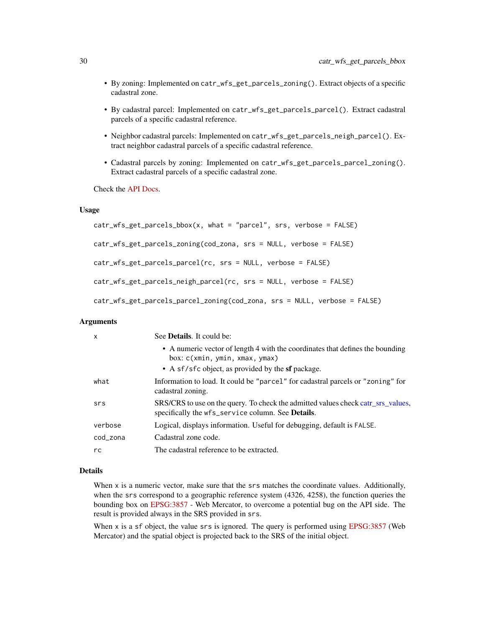- By zoning: Implemented on catr\_wfs\_get\_parcels\_zoning(). Extract objects of a specific cadastral zone.
- By cadastral parcel: Implemented on catr\_wfs\_get\_parcels\_parcel(). Extract cadastral parcels of a specific cadastral reference.
- Neighbor cadastral parcels: Implemented on catr\_wfs\_get\_parcels\_neigh\_parcel(). Extract neighbor cadastral parcels of a specific cadastral reference.
- Cadastral parcels by zoning: Implemented on catr\_wfs\_get\_parcels\_parcel\_zoning(). Extract cadastral parcels of a specific cadastral zone.

Check the [API Docs.](https://www.catastro.minhap.es/webinspire/documentos/inspire-cp-WFS.pdf)

#### Usage

```
catr_wfs_get_parcels_bbox(x, what = "parcel", srs, verbose = FALSE)
catr_wfs_get_parcels_zoning(cod_zona, srs = NULL, verbose = FALSE)
catr_wfs_get_parcels_parcel(rc, srs = NULL, verbose = FALSE)
catr_wfs_get_parcels_neigh_parcel(rc, srs = NULL, verbose = FALSE)
catr_wfs_get_parcels_parcel_zoning(cod_zona, srs = NULL, verbose = FALSE)
```
#### Arguments

| x        | See <b>Details</b> . It could be:                                                                                                                                           |
|----------|-----------------------------------------------------------------------------------------------------------------------------------------------------------------------------|
|          | • A numeric vector of length 4 with the coordinates that defines the bounding<br>box: c(xmin, ymin, xmax, ymax)<br>• A sf/sfc object, as provided by the <b>sf</b> package. |
| what     | Information to load. It could be "parcel" for cadastral parcels or "zoning" for<br>cadastral zoning.                                                                        |
| srs      | SRS/CRS to use on the query. To check the admitted values check catr_srs_values,<br>specifically the wfs_service column. See Details.                                       |
| verbose  | Logical, displays information. Useful for debugging, default is FALSE.                                                                                                      |
| cod_zona | Cadastral zone code.                                                                                                                                                        |
| rc       | The cadastral reference to be extracted.                                                                                                                                    |

# Details

When x is a numeric vector, make sure that the srs matches the coordinate values. Additionally, when the srs correspond to a geographic reference system (4326, 4258), the function queries the bounding box on [EPSG:3857](https://epsg.io/3857) - Web Mercator, to overcome a potential bug on the API side. The result is provided always in the SRS provided in srs.

When x is a sf object, the value srs is ignored. The query is performed using [EPSG:3857](https://epsg.io/3857) (Web Mercator) and the spatial object is projected back to the SRS of the initial object.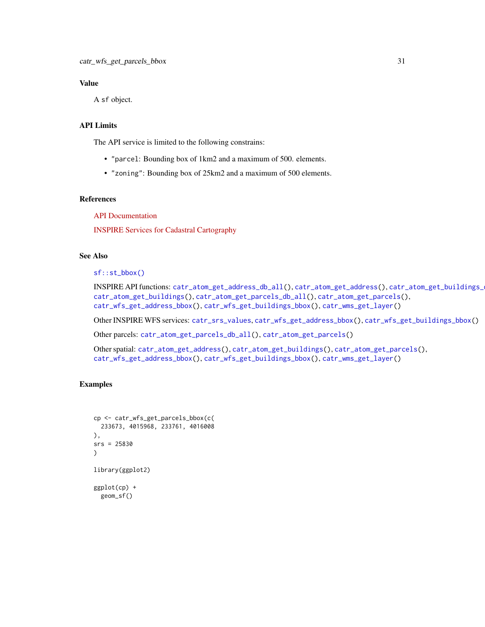# <span id="page-30-0"></span>Value

A sf object.

# API Limits

The API service is limited to the following constrains:

- "parcel: Bounding box of 1km2 and a maximum of 500. elements.
- "zoning": Bounding box of 25km2 and a maximum of 500 elements.

#### References

[API Documentation](https://www.catastro.minhap.es/webinspire/documentos/inspire-cp-WFS.pdf)

[INSPIRE Services for Cadastral Cartography](https://www.catastro.minhap.es/webinspire/index.html)

# See Also

[sf::st\\_bbox\(\)](#page-0-0)

```
INSPIRE API functions: catr_atom_get_address_db_all(), catr_atom_get_address(), catr_atom_get_buildings_db_all(),
catr_atom_get_buildings(), catr_atom_get_parcels_db_all(), catr_atom_get_parcels(),
catr_wfs_get_address_bbox(), catr_wfs_get_buildings_bbox(), catr_wms_get_layer()
```
Other INSPIRE WFS services: [catr\\_srs\\_values](#page-23-1), [catr\\_wfs\\_get\\_address\\_bbox\(](#page-24-1)), [catr\\_wfs\\_get\\_buildings\\_bbox\(](#page-26-1))

Other parcels: [catr\\_atom\\_get\\_parcels\\_db\\_all\(](#page-10-1)), [catr\\_atom\\_get\\_parcels\(](#page-8-1))

Other spatial: [catr\\_atom\\_get\\_address\(](#page-1-1)), [catr\\_atom\\_get\\_buildings\(](#page-5-1)), [catr\\_atom\\_get\\_parcels\(](#page-8-1)), [catr\\_wfs\\_get\\_address\\_bbox\(](#page-24-1)), [catr\\_wfs\\_get\\_buildings\\_bbox\(](#page-26-1)), [catr\\_wms\\_get\\_layer\(](#page-31-1))

#### Examples

```
cp <- catr_wfs_get_parcels_bbox(c(
 233673, 4015968, 233761, 4016008
),
srs = 25830
)
library(ggplot2)
ggplot(cp) +
  geom_sf()
```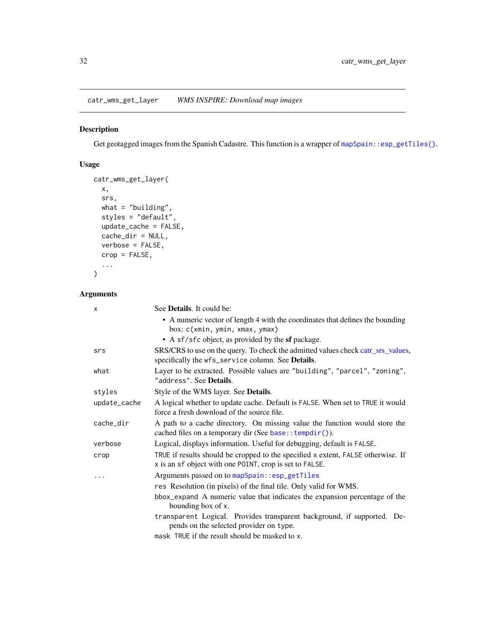<span id="page-31-1"></span><span id="page-31-0"></span>catr\_wms\_get\_layer *WMS INSPIRE: Download map images*

# Description

Get geotagged images from the Spanish Cadastre. This function is a wrapper of [mapSpain::esp\\_getTiles\(\)](#page-0-0).

# Usage

```
catr_wms_get_layer(
 x,
 srs,
 what = "building",
 styles = "default",
 update_cache = FALSE,
 cache_dir = NULL,
 verbose = FALSE,
 crop = FALSE,...
)
```
# Arguments

| X            | See <b>Details</b> . It could be:                                                                                                                                    |
|--------------|----------------------------------------------------------------------------------------------------------------------------------------------------------------------|
|              | • A numeric vector of length 4 with the coordinates that defines the bounding<br>box: c(xmin, ymin, xmax, ymax)<br>• A sf/sfc object, as provided by the sf package. |
| srs          | SRS/CRS to use on the query. To check the admitted values check catr_srs_values,<br>specifically the wfs_service column. See Details.                                |
| what         | Layer to be extracted. Possible values are "building", "parcel", "zoning",<br>"address". See Details.                                                                |
| styles       | Style of the WMS layer. See Details.                                                                                                                                 |
| update_cache | A logical whether to update cache. Default is FALSE. When set to TRUE it would<br>force a fresh download of the source file.                                         |
| cache_dir    | A path to a cache directory. On missing value the function would store the<br>cached files on a temporary dir (See base:: tempdir()).                                |
| verbose      | Logical, displays information. Useful for debugging, default is FALSE.                                                                                               |
| crop         | TRUE if results should be cropped to the specified x extent, FALSE otherwise. If<br>x is an sf object with one POINT, crop is set to FALSE.                          |
|              | Arguments passed on to mapSpain::esp_getTiles                                                                                                                        |
|              | res Resolution (in pixels) of the final tile. Only valid for WMS.                                                                                                    |
|              | bbox_expand A numeric value that indicates the expansion percentage of the<br>bounding box of x.                                                                     |
|              | transparent Logical. Provides transparent background, if supported. De-<br>pends on the selected provider on type.                                                   |
|              | mask TRUE if the result should be masked to x.                                                                                                                       |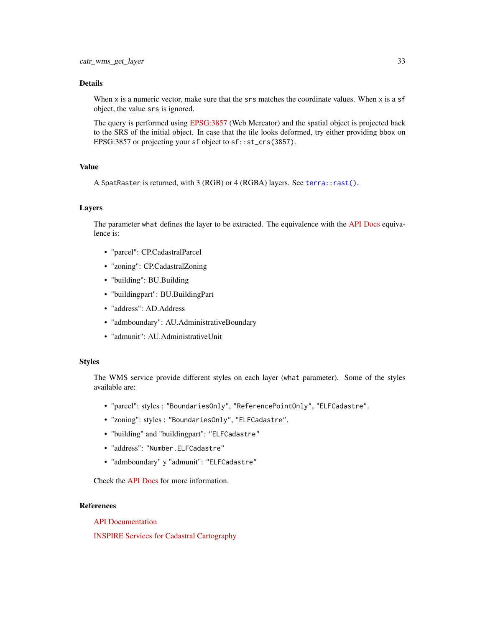# <span id="page-32-0"></span>Details

When x is a numeric vector, make sure that the srs matches the coordinate values. When x is a sf object, the value srs is ignored.

The query is performed using [EPSG:3857](https://epsg.io/3857) (Web Mercator) and the spatial object is projected back to the SRS of the initial object. In case that the tile looks deformed, try either providing bbox on EPSG:3857 or projecting your sf object to sf::st\_crs(3857).

# Value

A SpatRaster is returned, with 3 (RGB) or 4 (RGBA) layers. See [terra::rast\(\)](#page-0-0).

#### Layers

The parameter what defines the layer to be extracted. The equivalence with the [API Docs](https://www.catastro.minhap.es/webinspire/documentos/inspire-WMS.pdf) equivalence is:

- "parcel": CP.CadastralParcel
- "zoning": CP.CadastralZoning
- "building": BU.Building
- "buildingpart": BU.BuildingPart
- "address": AD.Address
- "admboundary": AU.AdministrativeBoundary
- "admunit": AU.AdministrativeUnit

#### Styles

The WMS service provide different styles on each layer (what parameter). Some of the styles available are:

- "parcel": styles : "BoundariesOnly", "ReferencePointOnly", "ELFCadastre".
- "zoning": styles : "BoundariesOnly", "ELFCadastre".
- "building" and "buildingpart": "ELFCadastre"
- "address": "Number.ELFCadastre"
- "admboundary" y "admunit": "ELFCadastre"

Check the [API Docs](https://www.catastro.minhap.es/webinspire/documentos/inspire-WMS.pdf) for more information.

# References

[API Documentation](https://www.catastro.minhap.es/webinspire/documentos/inspire-WMS.pdf)

[INSPIRE Services for Cadastral Cartography](https://www.catastro.minhap.es/webinspire/index.html)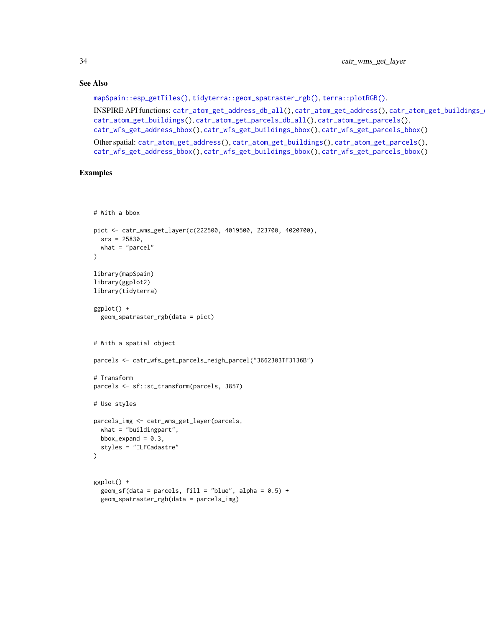#### See Also

[mapSpain::esp\\_getTiles\(\)](#page-0-0), [tidyterra::geom\\_spatraster\\_rgb\(\)](#page-0-0), [terra::plotRGB\(\)](#page-0-0).

```
INSPIRE API functions: catr_atom_get_address_db_all(), catr_atom_get_address(), catr_atom_get_buildings_db_all(),
catr_atom_get_buildings(), catr_atom_get_parcels_db_all(), catr_atom_get_parcels(),
catr_wfs_get_address_bbox(), catr_wfs_get_buildings_bbox(), catr_wfs_get_parcels_bbox()
```
Other spatial: [catr\\_atom\\_get\\_address\(](#page-1-1)), [catr\\_atom\\_get\\_buildings\(](#page-5-1)), [catr\\_atom\\_get\\_parcels\(](#page-8-1)), [catr\\_wfs\\_get\\_address\\_bbox\(](#page-24-1)), [catr\\_wfs\\_get\\_buildings\\_bbox\(](#page-26-1)), [catr\\_wfs\\_get\\_parcels\\_bbox\(](#page-28-1))

#### Examples

```
# With a bbox
pict <- catr_wms_get_layer(c(222500, 4019500, 223700, 4020700),
 srs = 25830,
 what = "parent")
library(mapSpain)
library(ggplot2)
library(tidyterra)
ggplot() +
  geom_spatraster_rgb(data = pict)
# With a spatial object
parcels <- catr_wfs_get_parcels_neigh_parcel("3662303TF3136B")
# Transform
parcels <- sf::st_transform(parcels, 3857)
# Use styles
parcels_img <- catr_wms_get_layer(parcels,
  what = "buildingpart",
  bbox_expand = 0.3,
  styles = "ELFCadastre"
)
ggplot() +
  geom_sf(data = parcels, fill = "blue", alpha = 0.5) +
  geom_spatraster_rgb(data = parcels_img)
```
<span id="page-33-0"></span>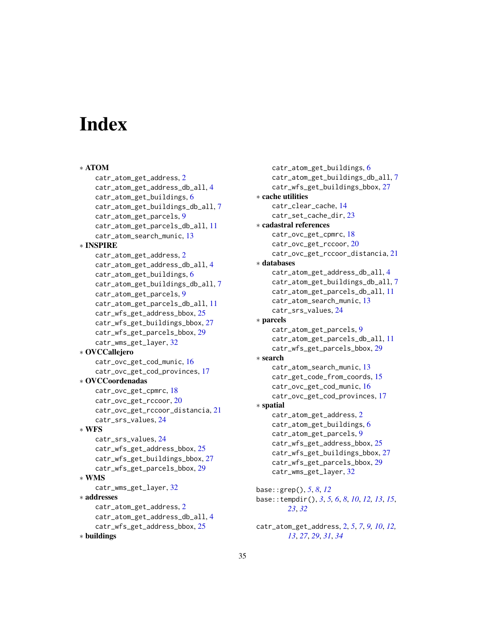# <span id="page-34-0"></span>**Index**

```
∗ ATOM
    catr_atom_get_address, 2
    catr_atom_get_address_db_all, 4
    catr_atom_get_buildings, 6
    catr_atom_get_buildings_db_all, 7
    catr_atom_get_parcels, 9
    catr_atom_get_parcels_db_all, 11
    catr_atom_search_munic, 13
∗ INSPIRE
    catr_atom_get_address, 2
    catr_atom_get_address_db_all, 4
    catr_atom_get_buildings, 6
    catr_atom_get_buildings_db_all, 7
    catr_atom_get_parcels, 9
    catr_atom_get_parcels_db_all, 11
    catr_wfs_get_address_bbox, 25
    catr_wfs_get_buildings_bbox, 27
    catr_wfs_get_parcels_bbox, 29
    catr_wms_get_layer, 32
∗ OVCCallejero
    catr_ovc_get_cod_munic, 16
    catr_ovc_get_cod_provinces, 17
∗ OVCCoordenadas
    catr_ovc_get_cpmrc, 18
    catr_ovc_get_rccoor, 20
    catr_ovc_get_rccoor_distancia, 21
    catr_srs_values, 24
∗ WFS
    catr_srs_values, 24
    catr_wfs_get_address_bbox, 25
    catr_wfs_get_buildings_bbox, 27
    catr_wfs_get_parcels_bbox, 29
∗ WMS
    catr_wms_get_layer, 32
∗ addresses
    catr_atom_get_address, 2
    catr_atom_get_address_db_all, 4
    catr_wfs_get_address_bbox, 25
∗ buildings
```

```
catr_atom_get_buildings, 6
    catr_atom_get_buildings_db_all, 7
    catr_wfs_get_buildings_bbox, 27
∗ cache utilities
    catr_clear_cache, 14
    23
∗ cadastral references
    catr_ovc_get_cpmrc, 18
    catr_ovc_get_rccoor, 20
    catr_ovc_get_rccoor_distancia, 21
∗ databases
    catr_atom_get_address_db_all, 4
    catr_atom_get_buildings_db_all, 7
    catr_atom_get_parcels_db_all, 11
    catr_atom_search_munic, 13
    catr_srs_values, 24
∗ parcels
    catr_atom_get_parcels, 9
    catr_atom_get_parcels_db_all, 11
    catr_wfs_get_parcels_bbox, 29
∗ search
    catr_atom_search_munic, 13
    catr_get_code_from_coords, 15
    catr_ovc_get_cod_munic, 16
    catr_ovc_get_cod_provinces, 17
∗ spatial
    catr_atom_get_address, 2
    catr_atom_get_buildings, 6
    catr_atom_get_parcels, 9
    catr_wfs_get_address_bbox, 25
    catr_wfs_get_buildings_bbox, 27
    catr_wfs_get_parcels_bbox, 29
    catr_wms_get_layer, 32
base::grep(), 5, 8, 12
base::tempdir(), 3, 5, 6, 8, 10, 12, 13, 15,
        23, 32
catr_atom_get_address, 2, 5, 7, 9, 10, 12,
```
*[13](#page-12-0)*, *[27](#page-26-0)*, *[29](#page-28-0)*, *[31](#page-30-0)*, *[34](#page-33-0)*